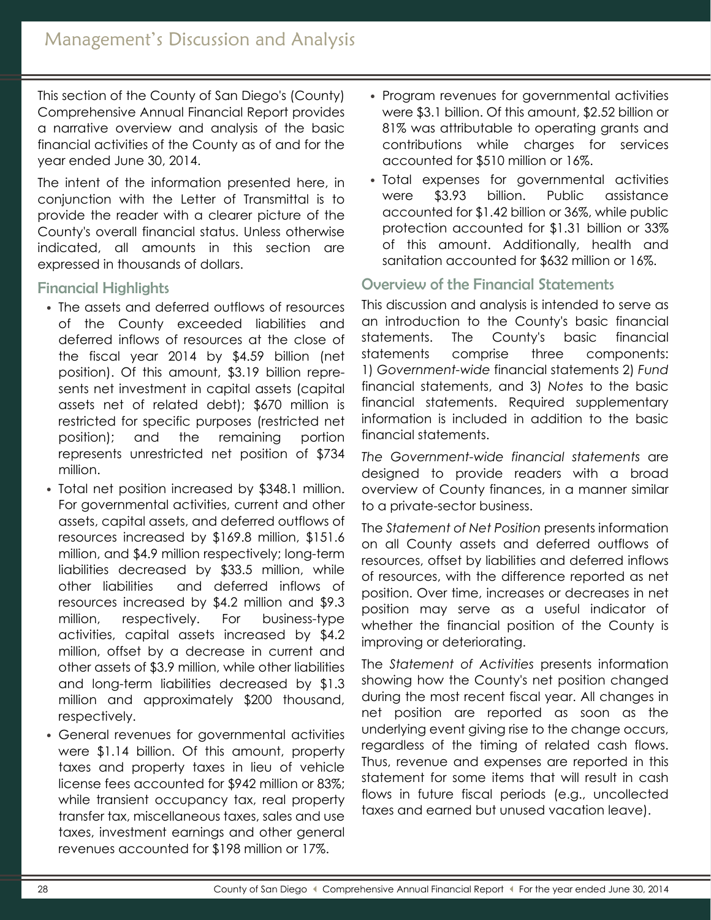This section of the County of San Diego's (County) Comprehensive Annual Financial Report provides a narrative overview and analysis of the basic financial activities of the County as of and for the year ended June 30, 2014.

The intent of the information presented here, in conjunction with the Letter of Transmittal is to provide the reader with a clearer picture of the County's overall financial status. Unless otherwise indicated, all amounts in this section are expressed in thousands of dollars.

## Financial Highlights

- The assets and deferred outflows of resources of the County exceeded liabilities and deferred inflows of resources at the close of the fiscal year 2014 by \$4.59 billion (net position). Of this amount, \$3.19 billion represents net investment in capital assets (capital assets net of related debt); \$670 million is restricted for specific purposes (restricted net position); and the remaining portion represents unrestricted net position of \$734 million.
- Total net position increased by \$348.1 million. For governmental activities, current and other assets, capital assets, and deferred outflows of resources increased by \$169.8 million, \$151.6 million, and \$4.9 million respectively; long-term liabilities decreased by \$33.5 million, while other liabilities and deferred inflows of resources increased by \$4.2 million and \$9.3 million, respectively. For business-type activities, capital assets increased by \$4.2 million, offset by a decrease in current and other assets of \$3.9 million, while other liabilities and long-term liabilities decreased by \$1.3 million and approximately \$200 thousand, respectively.
- General revenues for governmental activities were \$1.14 billion. Of this amount, property taxes and property taxes in lieu of vehicle license fees accounted for \$942 million or 83%; while transient occupancy tax, real property transfer tax, miscellaneous taxes, sales and use taxes, investment earnings and other general revenues accounted for \$198 million or 17%.
- Program revenues for governmental activities were \$3.1 billion. Of this amount, \$2.52 billion or 81% was attributable to operating grants and contributions while charges for services accounted for \$510 million or 16%.
- Total expenses for governmental activities were \$3.93 billion. Public assistance accounted for \$1.42 billion or 36%, while public protection accounted for \$1.31 billion or 33% of this amount. Additionally, health and sanitation accounted for \$632 million or 16%.

# Overview of the Financial Statements

This discussion and analysis is intended to serve as an introduction to the County's basic financial statements. The County's basic financial statements comprise three components: 1) *Government-wide* financial statements 2) *Fund* financial statements, and 3) *Notes* to the basic financial statements. Required supplementary information is included in addition to the basic financial statements.

*The Government-wide financial statements* are designed to provide readers with a broad overview of County finances, in a manner similar to a private-sector business.

The *Statement of Net Position* presents information on all County assets and deferred outflows of resources, offset by liabilities and deferred inflows of resources, with the difference reported as net position. Over time, increases or decreases in net position may serve as a useful indicator of whether the financial position of the County is improving or deteriorating.

The *Statement of Activities* presents information showing how the County's net position changed during the most recent fiscal year. All changes in net position are reported as soon as the underlying event giving rise to the change occurs, regardless of the timing of related cash flows. Thus, revenue and expenses are reported in this statement for some items that will result in cash flows in future fiscal periods (e.g., uncollected taxes and earned but unused vacation leave).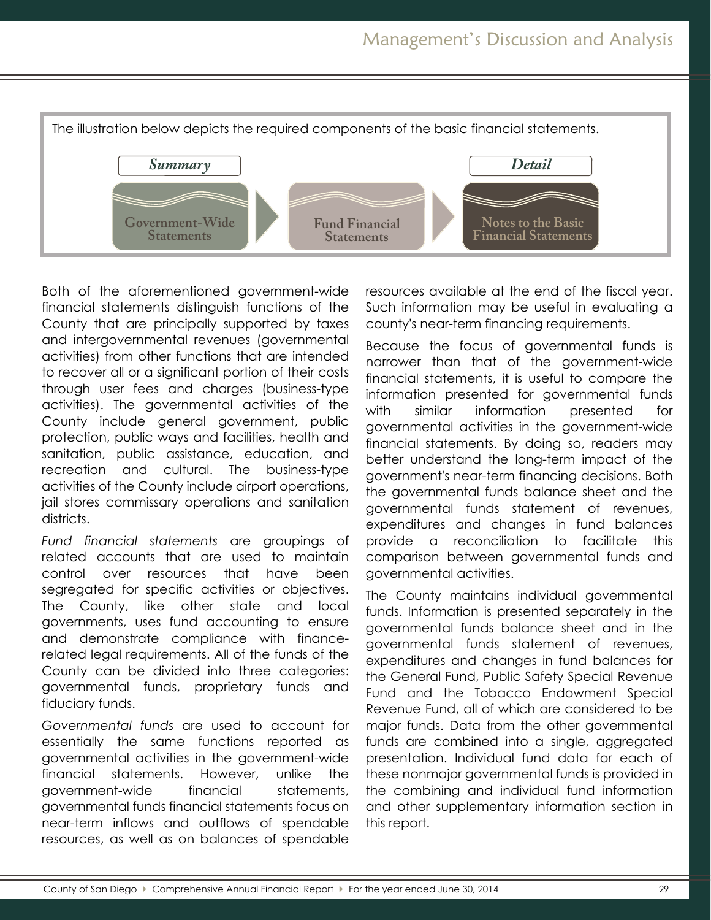

Both of the aforementioned government-wide financial statements distinguish functions of the County that are principally supported by taxes and intergovernmental revenues (governmental activities) from other functions that are intended to recover all or a significant portion of their costs through user fees and charges (business-type activities). The governmental activities of the County include general government, public protection, public ways and facilities, health and sanitation, public assistance, education, and recreation and cultural. The business-type activities of the County include airport operations, jail stores commissary operations and sanitation districts.

*Fund financial statements* are groupings of related accounts that are used to maintain control over resources that have been segregated for specific activities or objectives. The County, like other state and local governments, uses fund accounting to ensure and demonstrate compliance with financerelated legal requirements. All of the funds of the County can be divided into three categories: governmental funds, proprietary funds and fiduciary funds.

*Governmental funds* are used to account for essentially the same functions reported as governmental activities in the government-wide financial statements. However, unlike the government-wide financial statements, governmental funds financial statements focus on near-term inflows and outflows of spendable resources, as well as on balances of spendable

resources available at the end of the fiscal year. Such information may be useful in evaluating a county's near-term financing requirements.

Because the focus of governmental funds is narrower than that of the government-wide financial statements, it is useful to compare the information presented for governmental funds with similar information presented for governmental activities in the government-wide financial statements. By doing so, readers may better understand the long-term impact of the government's near-term financing decisions. Both the governmental funds balance sheet and the governmental funds statement of revenues, expenditures and changes in fund balances provide a reconciliation to facilitate this comparison between governmental funds and governmental activities.

The County maintains individual governmental funds. Information is presented separately in the governmental funds balance sheet and in the governmental funds statement of revenues, expenditures and changes in fund balances for the General Fund, Public Safety Special Revenue Fund and the Tobacco Endowment Special Revenue Fund, all of which are considered to be major funds. Data from the other governmental funds are combined into a single, aggregated presentation. Individual fund data for each of these nonmajor governmental funds is provided in the combining and individual fund information and other supplementary information section in this report.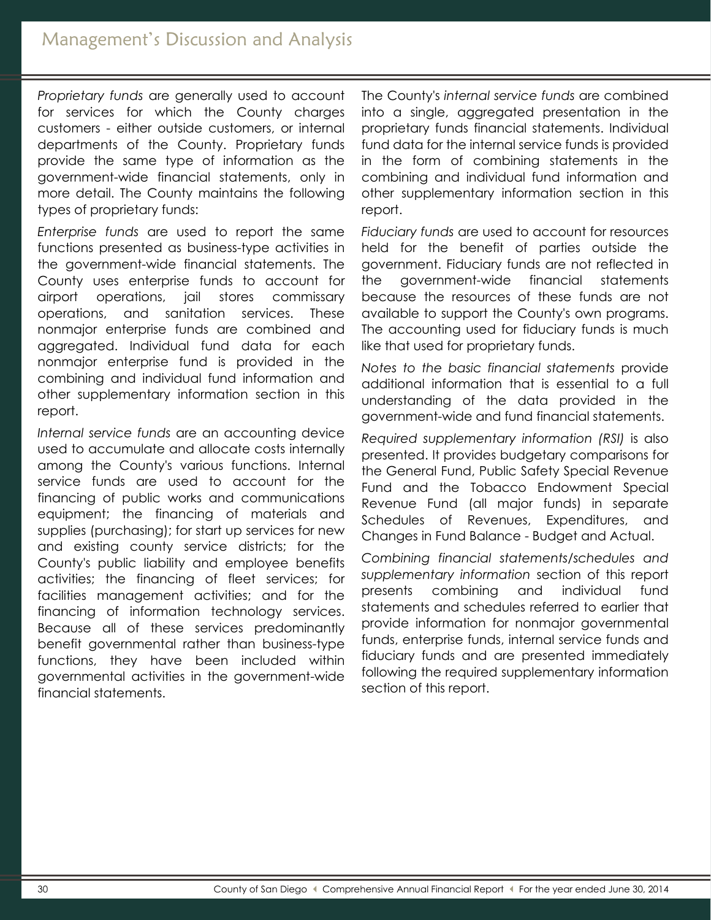*Proprietary funds* are generally used to account for services for which the County charges customers - either outside customers, or internal departments of the County. Proprietary funds provide the same type of information as the government-wide financial statements, only in more detail. The County maintains the following types of proprietary funds:

*Enterprise funds* are used to report the same functions presented as business-type activities in the government-wide financial statements. The County uses enterprise funds to account for airport operations, jail stores commissary operations, and sanitation services. These nonmajor enterprise funds are combined and aggregated. Individual fund data for each nonmajor enterprise fund is provided in the combining and individual fund information and other supplementary information section in this report.

*Internal service funds* are an accounting device used to accumulate and allocate costs internally among the County's various functions. Internal service funds are used to account for the financing of public works and communications equipment; the financing of materials and supplies (purchasing); for start up services for new and existing county service districts; for the County's public liability and employee benefits activities; the financing of fleet services; for facilities management activities; and for the financing of information technology services. Because all of these services predominantly benefit governmental rather than business-type functions, they have been included within governmental activities in the government-wide financial statements.

The County's *internal service funds* are combined into a single, aggregated presentation in the proprietary funds financial statements. Individual fund data for the internal service funds is provided in the form of combining statements in the combining and individual fund information and other supplementary information section in this report.

*Fiduciary funds* are used to account for resources held for the benefit of parties outside the government. Fiduciary funds are not reflected in the government-wide financial statements because the resources of these funds are not available to support the County's own programs. The accounting used for fiduciary funds is much like that used for proprietary funds.

*Notes to the basic financial statements* provide additional information that is essential to a full understanding of the data provided in the government-wide and fund financial statements.

*Required supplementary information (RSI)* is also presented. It provides budgetary comparisons for the General Fund, Public Safety Special Revenue Fund and the Tobacco Endowment Special Revenue Fund (all major funds) in separate Schedules of Revenues, Expenditures, and Changes in Fund Balance - Budget and Actual.

*Combining financial statements/schedules and supplementary information* section of this report presents combining and individual fund statements and schedules referred to earlier that provide information for nonmajor governmental funds, enterprise funds, internal service funds and fiduciary funds and are presented immediately following the required supplementary information section of this report.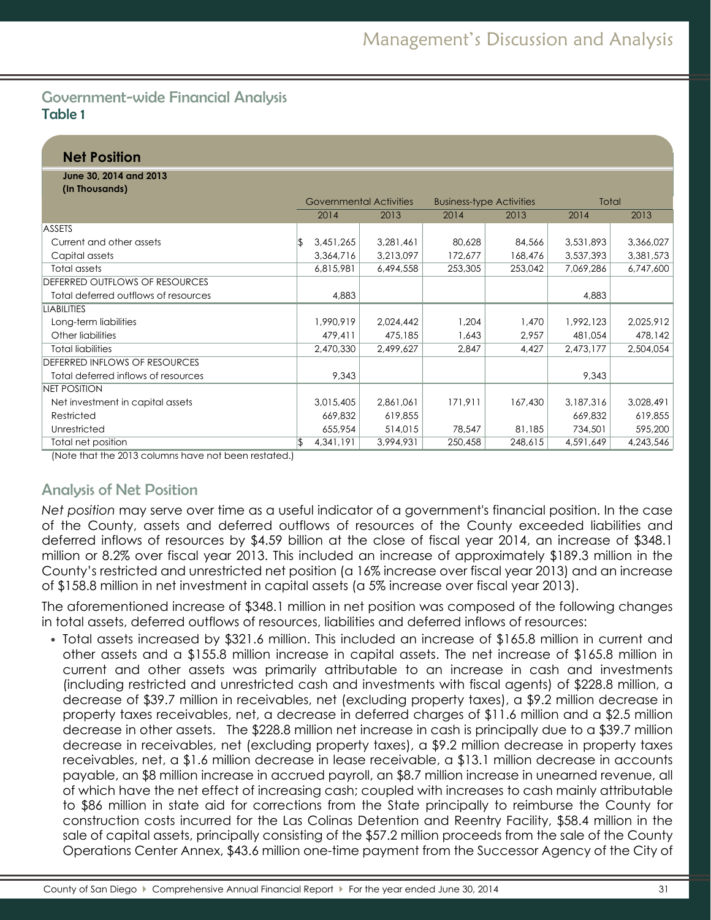## Government-wide Financial Analysis Table 1

| <b>Net Position</b>                      |    |                         |           |                                 |         |           |           |
|------------------------------------------|----|-------------------------|-----------|---------------------------------|---------|-----------|-----------|
| June 30, 2014 and 2013<br>(In Thousands) |    |                         |           |                                 |         |           |           |
|                                          |    | Governmental Activities |           | <b>Business-type Activities</b> |         | Total     |           |
|                                          |    | 2014                    | 2013      | 2014                            | 2013    | 2014      | 2013      |
| <b>ASSETS</b>                            |    |                         |           |                                 |         |           |           |
| Current and other assets                 | ß  | 3,451,265               | 3,281,461 | 80,628                          | 84,566  | 3,531,893 | 3,366,027 |
| Capital assets                           |    | 3,364,716               | 3,213,097 | 172,677                         | 168,476 | 3,537,393 | 3,381,573 |
| Total assets                             |    | 6,815,981               | 6,494,558 | 253,305                         | 253,042 | 7,069,286 | 6,747,600 |
| DEFERRED OUTFLOWS OF RESOURCES           |    |                         |           |                                 |         |           |           |
| Total deferred outflows of resources     |    | 4,883                   |           |                                 |         | 4,883     |           |
| <b>LIABILITIES</b>                       |    |                         |           |                                 |         |           |           |
| Long-term liabilities                    |    | 1,990,919               | 2,024,442 | 1,204                           | 1,470   | 1,992,123 | 2,025,912 |
| Other liabilities                        |    | 479,411                 | 475,185   | 1,643                           | 2,957   | 481,054   | 478,142   |
| <b>Total liabilities</b>                 |    | 2,470,330               | 2,499,627 | 2,847                           | 4,427   | 2,473,177 | 2,504,054 |
| DEFERRED INFLOWS OF RESOURCES            |    |                         |           |                                 |         |           |           |
| Total deferred inflows of resources      |    | 9,343                   |           |                                 |         | 9,343     |           |
| <b>NET POSITION</b>                      |    |                         |           |                                 |         |           |           |
| Net investment in capital assets         |    | 3,015,405               | 2,861,061 | 171,911                         | 167,430 | 3,187,316 | 3,028,491 |
| Restricted                               |    | 669,832                 | 619,855   |                                 |         | 669,832   | 619,855   |
| Unrestricted                             |    | 655,954                 | 514,015   | 78,547                          | 81,185  | 734,501   | 595,200   |
| Total net position                       | \$ | 4,341,191               | 3,994,931 | 250,458                         | 248,615 | 4,591,649 | 4,243,546 |

(Note that the 2013 columns have not been restated.)

# Analysis of Net Position

*Net position* may serve over time as a useful indicator of a government's financial position. In the case of the County, assets and deferred outflows of resources of the County exceeded liabilities and deferred inflows of resources by \$4.59 billion at the close of fiscal year 2014, an increase of \$348.1 million or 8.2% over fiscal year 2013. This included an increase of approximately \$189.3 million in the County's restricted and unrestricted net position (a 16% increase over fiscal year 2013) and an increase of \$158.8 million in net investment in capital assets (a 5% increase over fiscal year 2013).

The aforementioned increase of \$348.1 million in net position was composed of the following changes in total assets, deferred outflows of resources, liabilities and deferred inflows of resources:

• Total assets increased by \$321.6 million. This included an increase of \$165.8 million in current and other assets and a \$155.8 million increase in capital assets. The net increase of \$165.8 million in current and other assets was primarily attributable to an increase in cash and investments (including restricted and unrestricted cash and investments with fiscal agents) of \$228.8 million, a decrease of \$39.7 million in receivables, net (excluding property taxes), a \$9.2 million decrease in property taxes receivables, net, a decrease in deferred charges of \$11.6 million and a \$2.5 million decrease in other assets. The \$228.8 million net increase in cash is principally due to a \$39.7 million decrease in receivables, net (excluding property taxes), a \$9.2 million decrease in property taxes receivables, net, a \$1.6 million decrease in lease receivable, a \$13.1 million decrease in accounts payable, an \$8 million increase in accrued payroll, an \$8.7 million increase in unearned revenue, all of which have the net effect of increasing cash; coupled with increases to cash mainly attributable to \$86 million in state aid for corrections from the State principally to reimburse the County for construction costs incurred for the Las Colinas Detention and Reentry Facility, \$58.4 million in the sale of capital assets, principally consisting of the \$57.2 million proceeds from the sale of the County Operations Center Annex, \$43.6 million one-time payment from the Successor Agency of the City of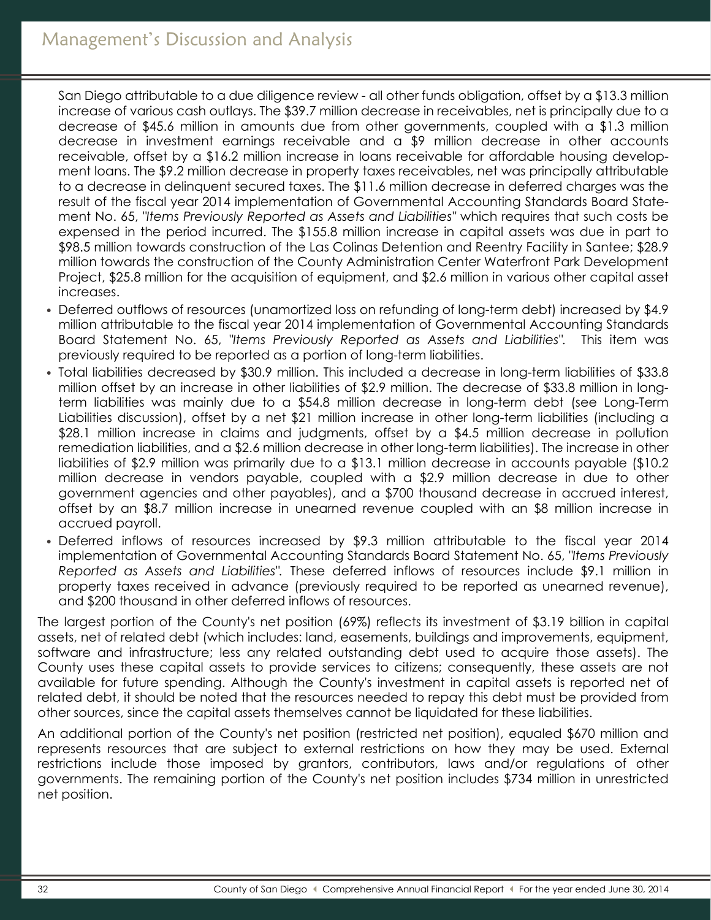San Diego attributable to a due diligence review - all other funds obligation, offset by a \$13.3 million increase of various cash outlays. The \$39.7 million decrease in receivables, net is principally due to a decrease of \$45.6 million in amounts due from other governments, coupled with a \$1.3 million decrease in investment earnings receivable and a \$9 million decrease in other accounts receivable, offset by a \$16.2 million increase in loans receivable for affordable housing development loans. The \$9.2 million decrease in property taxes receivables, net was principally attributable to a decrease in delinquent secured taxes. The \$11.6 million decrease in deferred charges was the result of the fiscal year 2014 implementation of Governmental Accounting Standards Board Statement No. 65, *"Items Previously Reported as Assets and Liabilities"* which requires that such costs be expensed in the period incurred. The \$155.8 million increase in capital assets was due in part to \$98.5 million towards construction of the Las Colinas Detention and Reentry Facility in Santee; \$28.9 million towards the construction of the County Administration Center Waterfront Park Development Project, \$25.8 million for the acquisition of equipment, and \$2.6 million in various other capital asset increases.

- Deferred outflows of resources (unamortized loss on refunding of long-term debt) increased by \$4.9 million attributable to the fiscal year 2014 implementation of Governmental Accounting Standards Board Statement No. 65, *"Items Previously Reported as Assets and Liabilities".* This item was previously required to be reported as a portion of long-term liabilities.
- Total liabilities decreased by \$30.9 million. This included a decrease in long-term liabilities of \$33.8 million offset by an increase in other liabilities of \$2.9 million. The decrease of \$33.8 million in longterm liabilities was mainly due to a \$54.8 million decrease in long-term debt (see Long-Term Liabilities discussion), offset by a net \$21 million increase in other long-term liabilities (including a \$28.1 million increase in claims and judgments, offset by a \$4.5 million decrease in pollution remediation liabilities, and a \$2.6 million decrease in other long-term liabilities). The increase in other liabilities of \$2.9 million was primarily due to a \$13.1 million decrease in accounts payable (\$10.2 million decrease in vendors payable, coupled with a \$2.9 million decrease in due to other government agencies and other payables), and a \$700 thousand decrease in accrued interest, offset by an \$8.7 million increase in unearned revenue coupled with an \$8 million increase in accrued payroll.
- Deferred inflows of resources increased by \$9.3 million attributable to the fiscal year 2014 implementation of Governmental Accounting Standards Board Statement No. 65, *"Items Previously Reported as Assets and Liabilities".* These deferred inflows of resources include \$9.1 million in property taxes received in advance (previously required to be reported as unearned revenue), and \$200 thousand in other deferred inflows of resources.

The largest portion of the County's net position (69%) reflects its investment of \$3.19 billion in capital assets, net of related debt (which includes: land, easements, buildings and improvements, equipment, software and infrastructure; less any related outstanding debt used to acquire those assets). The County uses these capital assets to provide services to citizens; consequently, these assets are not available for future spending. Although the County's investment in capital assets is reported net of related debt, it should be noted that the resources needed to repay this debt must be provided from other sources, since the capital assets themselves cannot be liquidated for these liabilities.

An additional portion of the County's net position (restricted net position), equaled \$670 million and represents resources that are subject to external restrictions on how they may be used. External restrictions include those imposed by grantors, contributors, laws and/or regulations of other governments. The remaining portion of the County's net position includes \$734 million in unrestricted net position.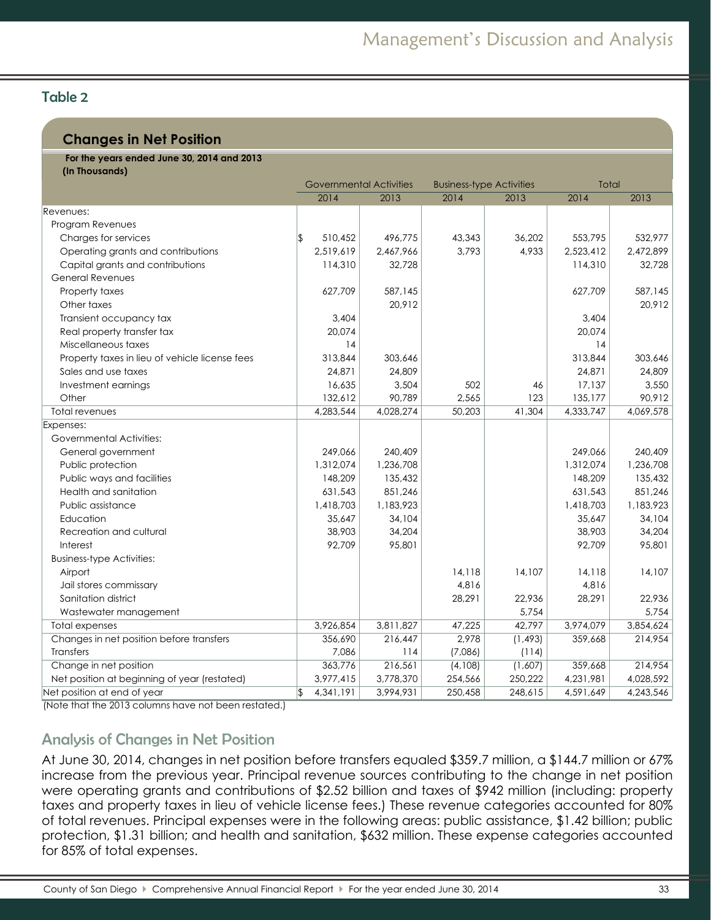# Table 2

## **Changes in Net Position**

| For the years ended June 30, 2014 and 2013<br>(In Thousands) |               |                                |           |                                 |          |           |           |
|--------------------------------------------------------------|---------------|--------------------------------|-----------|---------------------------------|----------|-----------|-----------|
|                                                              |               | <b>Governmental Activities</b> |           | <b>Business-type Activities</b> |          | Total     |           |
|                                                              |               | 2014                           | 2013      | 2014                            | 2013     | 2014      | 2013      |
| Revenues:                                                    |               |                                |           |                                 |          |           |           |
| Program Revenues                                             |               |                                |           |                                 |          |           |           |
| Charges for services                                         | $\sqrt{2}$    | 510,452                        | 496,775   | 43,343                          | 36,202   | 553,795   | 532,977   |
| Operating grants and contributions                           |               | 2,519,619                      | 2,467,966 | 3,793                           | 4,933    | 2,523,412 | 2,472,899 |
| Capital grants and contributions                             |               | 114,310                        | 32,728    |                                 |          | 114,310   | 32,728    |
| General Revenues                                             |               |                                |           |                                 |          |           |           |
| Property taxes                                               |               | 627,709                        | 587,145   |                                 |          | 627,709   | 587,145   |
| Other taxes                                                  |               |                                | 20,912    |                                 |          |           | 20,912    |
| Transient occupancy tax                                      |               | 3,404                          |           |                                 |          | 3,404     |           |
| Real property transfer tax                                   |               | 20,074                         |           |                                 |          | 20,074    |           |
| Miscellaneous taxes                                          |               | 14                             |           |                                 |          | 14        |           |
| Property taxes in lieu of vehicle license fees               |               | 313,844                        | 303,646   |                                 |          | 313,844   | 303,646   |
| Sales and use taxes                                          |               | 24,871                         | 24,809    |                                 |          | 24,871    | 24,809    |
| Investment earnings                                          |               | 16,635                         | 3,504     | 502                             | 46       | 17,137    | 3,550     |
| Other                                                        |               | 132,612                        | 90,789    | 2,565                           | 123      | 135,177   | 90,912    |
| <b>Total revenues</b>                                        |               | 4,283,544                      | 4,028,274 | 50,203                          | 41,304   | 4,333,747 | 4,069,578 |
| Expenses:                                                    |               |                                |           |                                 |          |           |           |
| Governmental Activities:                                     |               |                                |           |                                 |          |           |           |
| General government                                           |               | 249,066                        | 240,409   |                                 |          | 249,066   | 240,409   |
| Public protection                                            |               | 1,312,074                      | 1,236,708 |                                 |          | 1,312,074 | 1,236,708 |
| Public ways and facilities                                   |               | 148,209                        | 135,432   |                                 |          | 148,209   | 135,432   |
| Health and sanitation                                        |               | 631,543                        | 851,246   |                                 |          | 631,543   | 851,246   |
| Public assistance                                            |               | 1,418,703                      | 1,183,923 |                                 |          | 1,418,703 | 1,183,923 |
| Education                                                    |               | 35,647                         | 34,104    |                                 |          | 35,647    | 34,104    |
| Recreation and cultural                                      |               | 38,903                         | 34,204    |                                 |          | 38,903    | 34,204    |
| Interest                                                     |               | 92,709                         | 95,801    |                                 |          | 92,709    | 95,801    |
| <b>Business-type Activities:</b>                             |               |                                |           |                                 |          |           |           |
| Airport                                                      |               |                                |           | 14,118                          | 14,107   | 14,118    | 14,107    |
| Jail stores commissary                                       |               |                                |           | 4,816                           |          | 4,816     |           |
| Sanitation district                                          |               |                                |           | 28,291                          | 22,936   | 28,291    | 22,936    |
| Wastewater management                                        |               |                                |           |                                 | 5,754    |           | 5,754     |
| <b>Total expenses</b>                                        |               | 3,926,854                      | 3,811,827 | 47,225                          | 42,797   | 3,974,079 | 3,854,624 |
| Changes in net position before transfers                     |               | 356,690                        | 216,447   | 2,978                           | (1, 493) | 359,668   | 214,954   |
| Transfers                                                    |               | 7,086                          | 114       | (7,086)                         | (114)    |           |           |
| Change in net position                                       |               | 363,776                        | 216,561   | (4,108)                         | (1,607)  | 359,668   | 214,954   |
| Net position at beginning of year (restated)                 |               | 3,977,415                      | 3,778,370 | 254,566                         | 250,222  | 4,231,981 | 4,028,592 |
| Net position at end of year                                  | $\frac{1}{2}$ | 4,341,191                      | 3,994,931 | 250,458                         | 248,615  | 4,591,649 | 4,243,546 |

(Note that the 2013 columns have not been restated.)

## Analysis of Changes in Net Position

At June 30, 2014, changes in net position before transfers equaled \$359.7 million, a \$144.7 million or 67% increase from the previous year. Principal revenue sources contributing to the change in net position were operating grants and contributions of \$2.52 billion and taxes of \$942 million (including: property taxes and property taxes in lieu of vehicle license fees.) These revenue categories accounted for 80% of total revenues. Principal expenses were in the following areas: public assistance, \$1.42 billion; public protection, \$1.31 billion; and health and sanitation, \$632 million. These expense categories accounted for 85% of total expenses.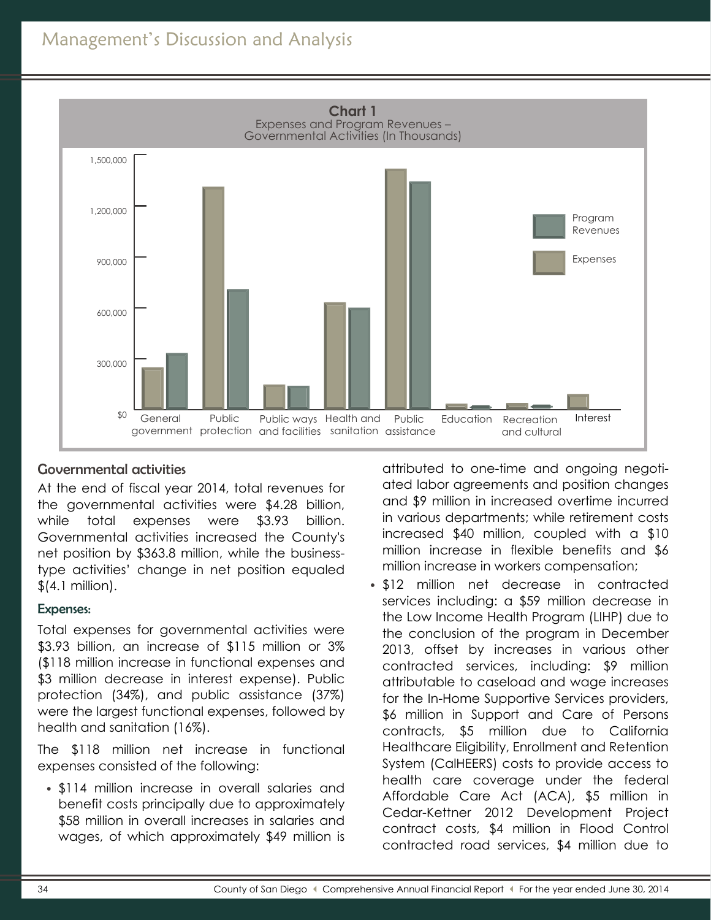# Management's Discussion and Analysis



## Governmental activities

At the end of fiscal year 2014, total revenues for the governmental activities were \$4.28 billion, while total expenses were \$3.93 billion. Governmental activities increased the County's net position by \$363.8 million, while the businesstype activities' change in net position equaled  $$$ (4.1 million).

### Expenses:

Total expenses for governmental activities were \$3.93 billion, an increase of \$115 million or 3% (\$118 million increase in functional expenses and \$3 million decrease in interest expense). Public protection (34%), and public assistance (37%) were the largest functional expenses, followed by health and sanitation (16%).

The \$118 million net increase in functional expenses consisted of the following:

• \$114 million increase in overall salaries and benefit costs principally due to approximately \$58 million in overall increases in salaries and wages, of which approximately \$49 million is

attributed to one-time and ongoing negotiated labor agreements and position changes and \$9 million in increased overtime incurred in various departments; while retirement costs increased \$40 million, coupled with a \$10 million increase in flexible benefits and \$6 million increase in workers compensation;

• \$12 million net decrease in contracted services including: a \$59 million decrease in the Low Income Health Program (LIHP) due to the conclusion of the program in December 2013, offset by increases in various other contracted services, including: \$9 million attributable to caseload and wage increases for the In-Home Supportive Services providers, \$6 million in Support and Care of Persons contracts, \$5 million due to California Healthcare Eligibility, Enrollment and Retention System (CalHEERS) costs to provide access to health care coverage under the federal Affordable Care Act (ACA), \$5 million in Cedar-Kettner 2012 Development Project contract costs, \$4 million in Flood Control contracted road services, \$4 million due to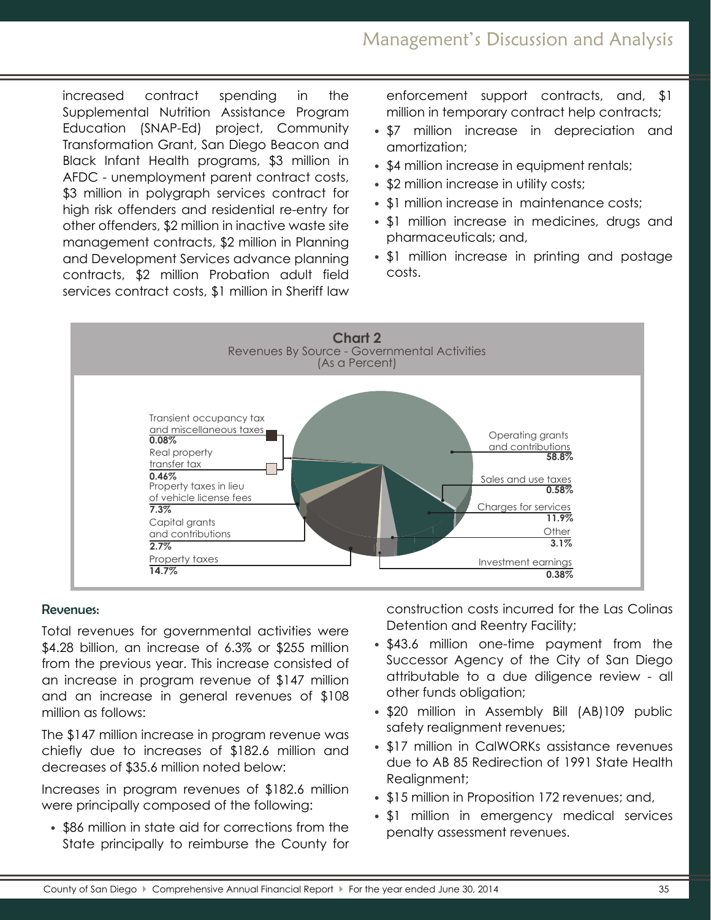# Management's Discussion and Analysis

increased contract spending in the Supplemental Nutrition Assistance Program Education (SNAP-Ed) project, Community Transformation Grant, San Diego Beacon and Black Infant Health programs, \$3 million in AFDC - unemployment parent contract costs, \$3 million in polygraph services contract for high risk offenders and residential re-entry for other offenders, \$2 million in inactive waste site management contracts, \$2 million in Planning and Development Services advance planning contracts, \$2 million Probation adult field services contract costs, \$1 million in Sheriff law enforcement support contracts, and, \$1 million in temporary contract help contracts;

- \$7 million increase in depreciation and amortization;
- \$4 million increase in equipment rentals;
- \$2 million increase in utility costs;
- \$1 million increase in maintenance costs;
- \$1 million increase in medicines, drugs and pharmaceuticals; and,
- \$1 million increase in printing and postage costs.



#### Revenues:

Total revenues for governmental activities were \$4.28 billion, an increase of 6.3% or \$255 million from the previous year. This increase consisted of an increase in program revenue of \$147 million and an increase in general revenues of \$108 million as follows:

The \$147 million increase in program revenue was chiefly due to increases of \$182.6 million and decreases of \$35.6 million noted below:

Increases in program revenues of \$182.6 million were principally composed of the following:

• \$86 million in state aid for corrections from the State principally to reimburse the County for construction costs incurred for the Las Colinas Detention and Reentry Facility;

- \$43.6 million one-time payment from the Successor Agency of the City of San Diego attributable to a due diligence review - all other funds obligation;
- \$20 million in Assembly Bill (AB)109 public safety realignment revenues;
- \$17 million in CalWORKs assistance revenues due to AB 85 Redirection of 1991 State Health Realignment;
- \$15 million in Proposition 172 revenues; and,
- \$1 million in emergency medical services penalty assessment revenues.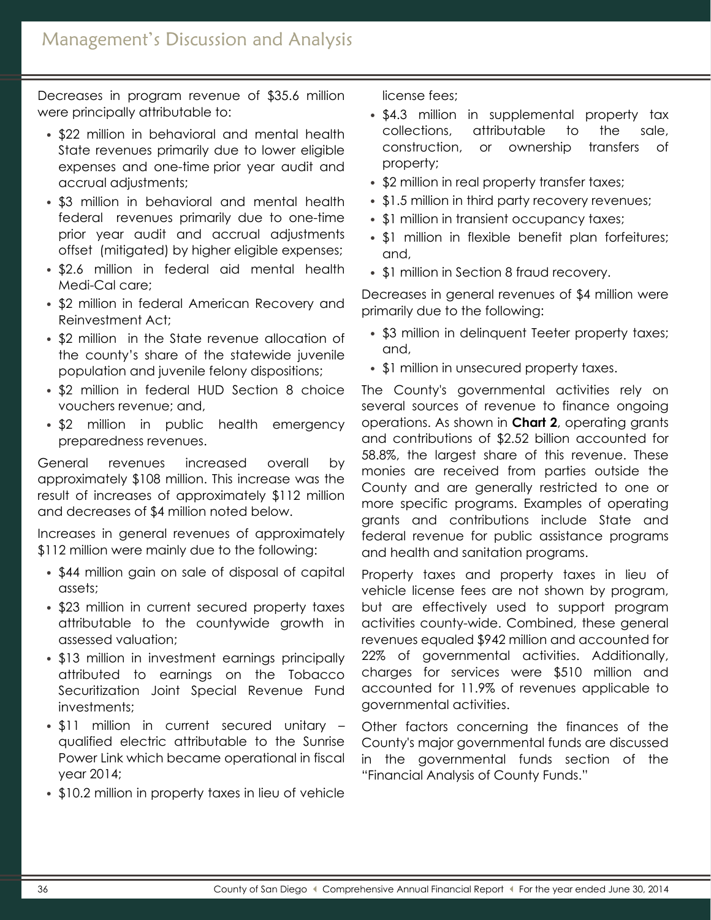Decreases in program revenue of \$35.6 million were principally attributable to:

- \$22 million in behavioral and mental health State revenues primarily due to lower eligible expenses and one-time prior year audit and accrual adjustments;
- \$3 million in behavioral and mental health federal revenues primarily due to one-time prior year audit and accrual adjustments offset (mitigated) by higher eligible expenses;
- \$2.6 million in federal aid mental health Medi-Cal care;
- \$2 million in federal American Recovery and Reinvestment Act;
- \$2 million in the State revenue allocation of the county's share of the statewide juvenile population and juvenile felony dispositions;
- \$2 million in federal HUD Section 8 choice vouchers revenue; and,
- \$2 million in public health emergency preparedness revenues.

General revenues increased overall by approximately \$108 million. This increase was the result of increases of approximately \$112 million and decreases of \$4 million noted below.

Increases in general revenues of approximately \$112 million were mainly due to the following:

- \$44 million gain on sale of disposal of capital assets;
- \$23 million in current secured property taxes attributable to the countywide growth in assessed valuation;
- \$13 million in investment earnings principally attributed to earnings on the Tobacco Securitization Joint Special Revenue Fund investments;
- \$11 million in current secured unitary qualified electric attributable to the Sunrise Power Link which became operational in fiscal year 2014;
- \$10.2 million in property taxes in lieu of vehicle

license fees;

- \$4.3 million in supplemental property tax collections, attributable to the sale, construction, or ownership transfers of property;
- \$2 million in real property transfer taxes;
- \$1.5 million in third party recovery revenues;
- \$1 million in transient occupancy taxes;
- \$1 million in flexible benefit plan forfeitures; and,
- \$1 million in Section 8 fraud recovery.

Decreases in general revenues of \$4 million were primarily due to the following:

- \$3 million in delinquent Teeter property taxes; and,
- \$1 million in unsecured property taxes.

The County's governmental activities rely on several sources of revenue to finance ongoing operations. As shown in **Chart 2**, operating grants and contributions of \$2.52 billion accounted for 58.8%, the largest share of this revenue. These monies are received from parties outside the County and are generally restricted to one or more specific programs. Examples of operating grants and contributions include State and federal revenue for public assistance programs and health and sanitation programs.

Property taxes and property taxes in lieu of vehicle license fees are not shown by program, but are effectively used to support program activities county-wide. Combined, these general revenues equaled \$942 million and accounted for 22% of governmental activities. Additionally, charges for services were \$510 million and accounted for 11.9% of revenues applicable to governmental activities.

Other factors concerning the finances of the County's major governmental funds are discussed in the governmental funds section of the "Financial Analysis of County Funds."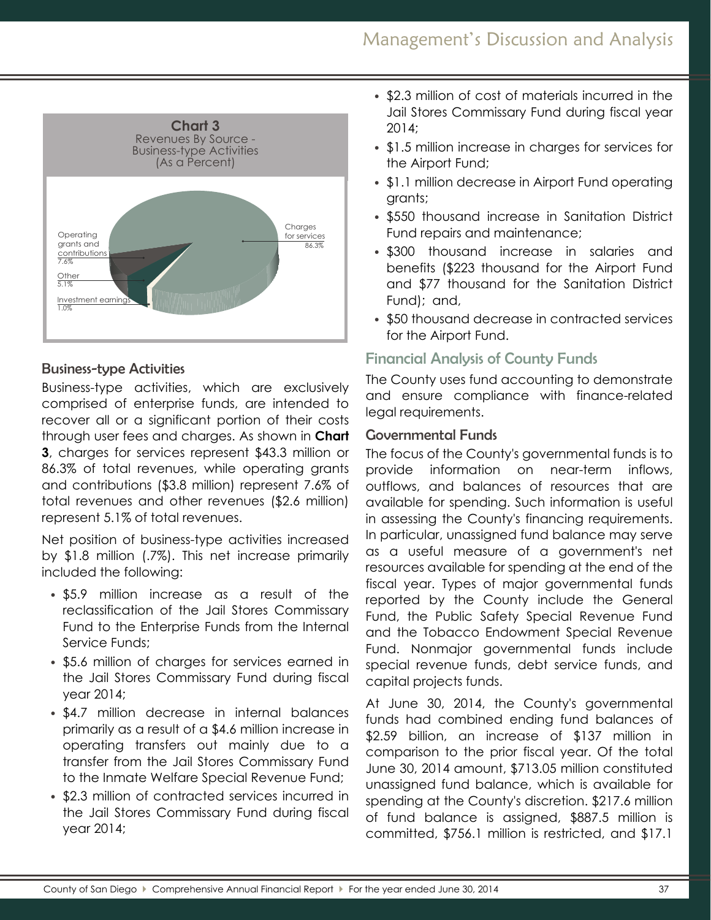

## Business-type Activities

Business-type activities, which are exclusively comprised of enterprise funds, are intended to recover all or a significant portion of their costs through user fees and charges. As shown in **Chart 3**, charges for services represent \$43.3 million or 86.3% of total revenues, while operating grants and contributions (\$3.8 million) represent 7.6% of total revenues and other revenues (\$2.6 million) represent 5.1% of total revenues.

Net position of business-type activities increased by \$1.8 million (.7%). This net increase primarily included the following:

- \$5.9 million increase as a result of the reclassification of the Jail Stores Commissary Fund to the Enterprise Funds from the Internal Service Funds;
- \$5.6 million of charges for services earned in the Jail Stores Commissary Fund during fiscal year 2014;
- \$4.7 million decrease in internal balances primarily as a result of a \$4.6 million increase in operating transfers out mainly due to a transfer from the Jail Stores Commissary Fund to the Inmate Welfare Special Revenue Fund;
- \$2.3 million of contracted services incurred in the Jail Stores Commissary Fund during fiscal year 2014;
- \$2.3 million of cost of materials incurred in the Jail Stores Commissary Fund during fiscal year 2014;
- \$1.5 million increase in charges for services for the Airport Fund;
- \$1.1 million decrease in Airport Fund operating grants;
- \$550 thousand increase in Sanitation District Fund repairs and maintenance;
- \$300 thousand increase in salaries and benefits (\$223 thousand for the Airport Fund and \$77 thousand for the Sanitation District Fund); and,
- \$50 thousand decrease in contracted services for the Airport Fund.

## Financial Analysis of County Funds

The County uses fund accounting to demonstrate and ensure compliance with finance-related legal requirements.

## Governmental Funds

The focus of the County's governmental funds is to provide information on near-term inflows, outflows, and balances of resources that are available for spending. Such information is useful in assessing the County's financing requirements. In particular, unassigned fund balance may serve as a useful measure of a government's net resources available for spending at the end of the fiscal year. Types of major governmental funds reported by the County include the General Fund, the Public Safety Special Revenue Fund and the Tobacco Endowment Special Revenue Fund. Nonmajor governmental funds include special revenue funds, debt service funds, and capital projects funds.

At June 30, 2014, the County's governmental funds had combined ending fund balances of \$2.59 billion, an increase of \$137 million in comparison to the prior fiscal year. Of the total June 30, 2014 amount, \$713.05 million constituted unassigned fund balance, which is available for spending at the County's discretion. \$217.6 million of fund balance is assigned, \$887.5 million is committed, \$756.1 million is restricted, and \$17.1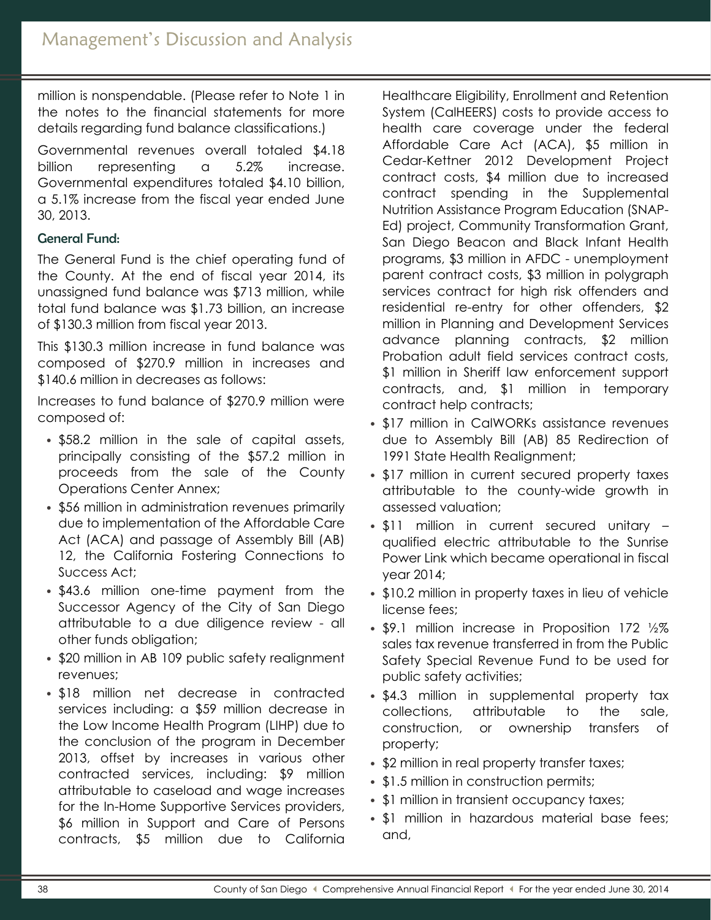million is nonspendable. (Please refer to Note 1 in the notes to the financial statements for more details regarding fund balance classifications.)

Governmental revenues overall totaled \$4.18 billion representing a 5.2% increase. Governmental expenditures totaled \$4.10 billion, a 5.1% increase from the fiscal year ended June 30, 2013.

# General Fund:

The General Fund is the chief operating fund of the County. At the end of fiscal year 2014, its unassigned fund balance was \$713 million, while total fund balance was \$1.73 billion, an increase of \$130.3 million from fiscal year 2013.

This \$130.3 million increase in fund balance was composed of \$270.9 million in increases and \$140.6 million in decreases as follows:

Increases to fund balance of \$270.9 million were composed of:

- \$58.2 million in the sale of capital assets, principally consisting of the \$57.2 million in proceeds from the sale of the County Operations Center Annex;
- \$56 million in administration revenues primarily due to implementation of the Affordable Care Act (ACA) and passage of Assembly Bill (AB) 12, the California Fostering Connections to Success Act;
- \$43.6 million one-time payment from the Successor Agency of the City of San Diego attributable to a due diligence review - all other funds obligation;
- \$20 million in AB 109 public safety realignment revenues;
- \$18 million net decrease in contracted services including: a \$59 million decrease in the Low Income Health Program (LIHP) due to the conclusion of the program in December 2013, offset by increases in various other contracted services, including: \$9 million attributable to caseload and wage increases for the In-Home Supportive Services providers, \$6 million in Support and Care of Persons contracts, \$5 million due to California

Healthcare Eligibility, Enrollment and Retention System (CalHEERS) costs to provide access to health care coverage under the federal Affordable Care Act (ACA), \$5 million in Cedar-Kettner 2012 Development Project contract costs, \$4 million due to increased contract spending in the Supplemental Nutrition Assistance Program Education (SNAP-Ed) project, Community Transformation Grant, San Diego Beacon and Black Infant Health programs, \$3 million in AFDC - unemployment parent contract costs, \$3 million in polygraph services contract for high risk offenders and residential re-entry for other offenders, \$2 million in Planning and Development Services advance planning contracts, \$2 million Probation adult field services contract costs, \$1 million in Sheriff law enforcement support contracts, and, \$1 million in temporary contract help contracts;

- \$17 million in CalWORKs assistance revenues due to Assembly Bill (AB) 85 Redirection of 1991 State Health Realignment;
- \$17 million in current secured property taxes attributable to the county-wide growth in assessed valuation;
- \$11 million in current secured unitary qualified electric attributable to the Sunrise Power Link which became operational in fiscal year 2014;
- \$10.2 million in property taxes in lieu of vehicle license fees;
- \$9.1 million increase in Proposition 172 1/2% sales tax revenue transferred in from the Public Safety Special Revenue Fund to be used for public safety activities;
- \$4.3 million in supplemental property tax collections, attributable to the sale, construction, or ownership transfers of property;
- \$2 million in real property transfer taxes;
- \$1.5 million in construction permits;
- \$1 million in transient occupancy taxes;
- \$1 million in hazardous material base fees; and,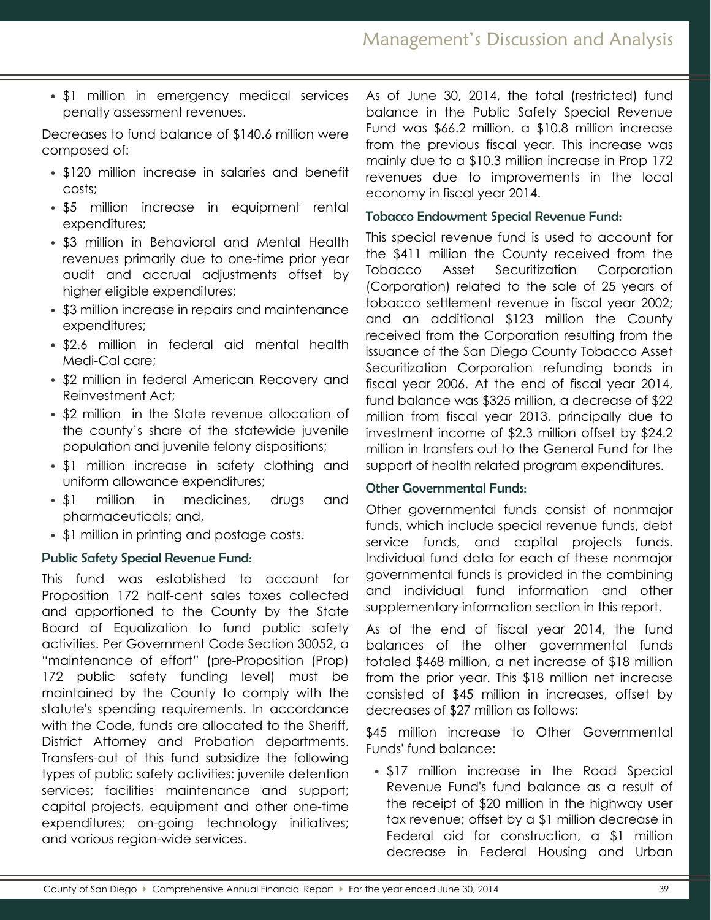• \$1 million in emergency medical services penalty assessment revenues.

Decreases to fund balance of \$140.6 million were composed of:

- \$120 million increase in salaries and benefit costs;
- \$5 million increase in equipment rental expenditures;
- \$3 million in Behavioral and Mental Health revenues primarily due to one-time prior year audit and accrual adjustments offset by higher eligible expenditures;
- \$3 million increase in repairs and maintenance expenditures;
- \$2.6 million in federal aid mental health Medi-Cal care;
- \$2 million in federal American Recovery and Reinvestment Act;
- \$2 million in the State revenue allocation of the county's share of the statewide juvenile population and juvenile felony dispositions;
- \$1 million increase in safety clothing and uniform allowance expenditures;
- \$1 million in medicines, drugs and pharmaceuticals; and,
- \$1 million in printing and postage costs.

# Public Safety Special Revenue Fund:

This fund was established to account for Proposition 172 half-cent sales taxes collected and apportioned to the County by the State Board of Equalization to fund public safety activities. Per Government Code Section 30052, a "maintenance of effort" (pre-Proposition (Prop) 172 public safety funding level) must be maintained by the County to comply with the statute's spending requirements. In accordance with the Code, funds are allocated to the Sheriff, District Attorney and Probation departments. Transfers-out of this fund subsidize the following types of public safety activities: juvenile detention services; facilities maintenance and support; capital projects, equipment and other one-time expenditures; on-going technology initiatives; and various region-wide services.

As of June 30, 2014, the total (restricted) fund balance in the Public Safety Special Revenue Fund was \$66.2 million, a \$10.8 million increase from the previous fiscal year. This increase was mainly due to a \$10.3 million increase in Prop 172 revenues due to improvements in the local economy in fiscal year 2014.

## Tobacco Endowment Special Revenue Fund:

This special revenue fund is used to account for the \$411 million the County received from the Tobacco Asset Securitization Corporation (Corporation) related to the sale of 25 years of tobacco settlement revenue in fiscal year 2002; and an additional \$123 million the County received from the Corporation resulting from the issuance of the San Diego County Tobacco Asset Securitization Corporation refunding bonds in fiscal year 2006. At the end of fiscal year 2014, fund balance was \$325 million, a decrease of \$22 million from fiscal year 2013, principally due to investment income of \$2.3 million offset by \$24.2 million in transfers out to the General Fund for the support of health related program expenditures.

## Other Governmental Funds:

Other governmental funds consist of nonmajor funds, which include special revenue funds, debt service funds, and capital projects funds. Individual fund data for each of these nonmajor governmental funds is provided in the combining and individual fund information and other supplementary information section in this report.

As of the end of fiscal year 2014, the fund balances of the other governmental funds totaled \$468 million, a net increase of \$18 million from the prior year. This \$18 million net increase consisted of \$45 million in increases, offset by decreases of \$27 million as follows:

\$45 million increase to Other Governmental Funds' fund balance:

• \$17 million increase in the Road Special Revenue Fund's fund balance as a result of the receipt of \$20 million in the highway user tax revenue; offset by a \$1 million decrease in Federal aid for construction, a \$1 million decrease in Federal Housing and Urban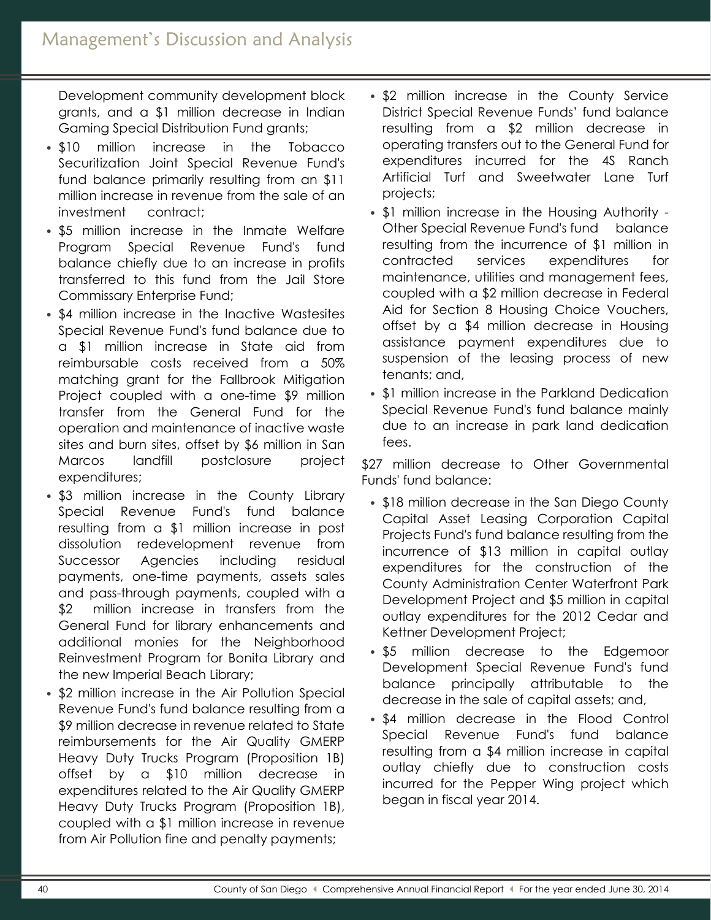Development community development block grants, and a \$1 million decrease in Indian Gaming Special Distribution Fund grants;

- \$10 million increase in the Tobacco Securitization Joint Special Revenue Fund's fund balance primarily resulting from an \$11 million increase in revenue from the sale of an investment contract;
- \$5 million increase in the Inmate Welfare Program Special Revenue Fund's fund balance chiefly due to an increase in profits transferred to this fund from the Jail Store Commissary Enterprise Fund;
- \$4 million increase in the Inactive Wastesites Special Revenue Fund's fund balance due to a \$1 million increase in State aid from reimbursable costs received from a 50% matching grant for the Fallbrook Mitigation Project coupled with a one-time \$9 million transfer from the General Fund for the operation and maintenance of inactive waste sites and burn sites, offset by \$6 million in San Marcos landfill postclosure project expenditures;
- \$3 million increase in the County Library Special Revenue Fund's fund balance resulting from a \$1 million increase in post dissolution redevelopment revenue from Successor Agencies including residual payments, one-time payments, assets sales and pass-through payments, coupled with a \$2 million increase in transfers from the General Fund for library enhancements and additional monies for the Neighborhood Reinvestment Program for Bonita Library and the new Imperial Beach Library;
- \$2 million increase in the Air Pollution Special Revenue Fund's fund balance resulting from a \$9 million decrease in revenue related to State reimbursements for the Air Quality GMERP Heavy Duty Trucks Program (Proposition 1B) offset by a \$10 million decrease in expenditures related to the Air Quality GMERP Heavy Duty Trucks Program (Proposition 1B), coupled with a \$1 million increase in revenue from Air Pollution fine and penalty payments;
- \$2 million increase in the County Service District Special Revenue Funds' fund balance resulting from a \$2 million decrease in operating transfers out to the General Fund for expenditures incurred for the 4S Ranch Artificial Turf and Sweetwater Lane Turf projects;
- \$1 million increase in the Housing Authority Other Special Revenue Fund's fund balance resulting from the incurrence of \$1 million in contracted services expenditures for maintenance, utilities and management fees, coupled with a \$2 million decrease in Federal Aid for Section 8 Housing Choice Vouchers, offset by a \$4 million decrease in Housing assistance payment expenditures due to suspension of the leasing process of new tenants; and,
- \$1 million increase in the Parkland Dedication Special Revenue Fund's fund balance mainly due to an increase in park land dedication fees.

\$27 million decrease to Other Governmental Funds' fund balance:

- \$18 million decrease in the San Diego County Capital Asset Leasing Corporation Capital Projects Fund's fund balance resulting from the incurrence of \$13 million in capital outlay expenditures for the construction of the County Administration Center Waterfront Park Development Project and \$5 million in capital outlay expenditures for the 2012 Cedar and Kettner Development Project;
- \$5 million decrease to the Edgemoor Development Special Revenue Fund's fund balance principally attributable to the decrease in the sale of capital assets; and,
- \$4 million decrease in the Flood Control Special Revenue Fund's fund balance resulting from a \$4 million increase in capital outlay chiefly due to construction costs incurred for the Pepper Wing project which began in fiscal year 2014.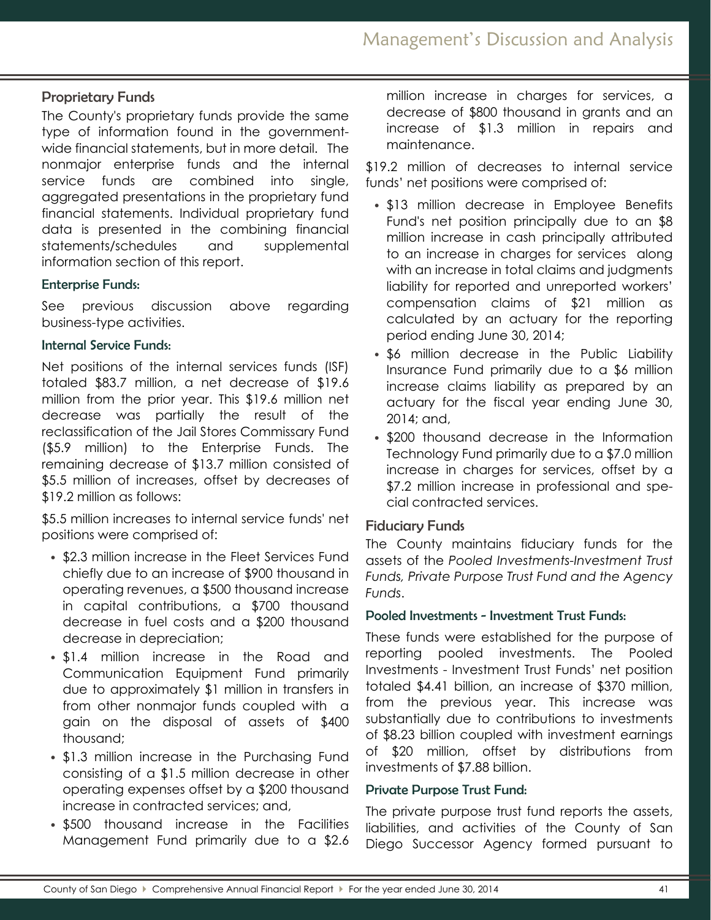## Proprietary Funds

The County's proprietary funds provide the same type of information found in the governmentwide financial statements, but in more detail. The nonmajor enterprise funds and the internal service funds are combined into single, aggregated presentations in the proprietary fund financial statements. Individual proprietary fund data is presented in the combining financial statements/schedules and supplemental information section of this report.

### Enterprise Funds:

See previous discussion above regarding business-type activities.

### Internal Service Funds:

Net positions of the internal services funds (ISF) totaled \$83.7 million, a net decrease of \$19.6 million from the prior year. This \$19.6 million net decrease was partially the result of the reclassification of the Jail Stores Commissary Fund (\$5.9 million) to the Enterprise Funds. The remaining decrease of \$13.7 million consisted of \$5.5 million of increases, offset by decreases of \$19.2 million as follows:

\$5.5 million increases to internal service funds' net positions were comprised of:

- \$2.3 million increase in the Fleet Services Fund chiefly due to an increase of \$900 thousand in operating revenues, a \$500 thousand increase in capital contributions, a \$700 thousand decrease in fuel costs and a \$200 thousand decrease in depreciation;
- \$1.4 million increase in the Road and Communication Equipment Fund primarily due to approximately \$1 million in transfers in from other nonmajor funds coupled with a gain on the disposal of assets of \$400 thousand;
- \$1.3 million increase in the Purchasing Fund consisting of a \$1.5 million decrease in other operating expenses offset by a \$200 thousand increase in contracted services; and,
- \$500 thousand increase in the Facilities Management Fund primarily due to a \$2.6

million increase in charges for services, a decrease of \$800 thousand in grants and an increase of \$1.3 million in repairs and maintenance.

\$19.2 million of decreases to internal service funds' net positions were comprised of:

- \$13 million decrease in Employee Benefits Fund's net position principally due to an \$8 million increase in cash principally attributed to an increase in charges for services along with an increase in total claims and judgments liability for reported and unreported workers' compensation claims of \$21 million as calculated by an actuary for the reporting period ending June 30, 2014;
- \$6 million decrease in the Public Liability Insurance Fund primarily due to a \$6 million increase claims liability as prepared by an actuary for the fiscal year ending June 30, 2014; and,
- \$200 thousand decrease in the Information Technology Fund primarily due to a \$7.0 million increase in charges for services, offset by a \$7.2 million increase in professional and special contracted services.

### Fiduciary Funds

The County maintains fiduciary funds for the assets of the *Pooled Investments-Investment Trust Funds, Private Purpose Trust Fund and the Agency Funds*.

#### Pooled Investments - Investment Trust Funds:

These funds were established for the purpose of reporting pooled investments. The Pooled Investments - Investment Trust Funds' net position totaled \$4.41 billion, an increase of \$370 million, from the previous year. This increase was substantially due to contributions to investments of \$8.23 billion coupled with investment earnings of \$20 million, offset by distributions from investments of \$7.88 billion.

### Private Purpose Trust Fund:

The private purpose trust fund reports the assets, liabilities, and activities of the County of San Diego Successor Agency formed pursuant to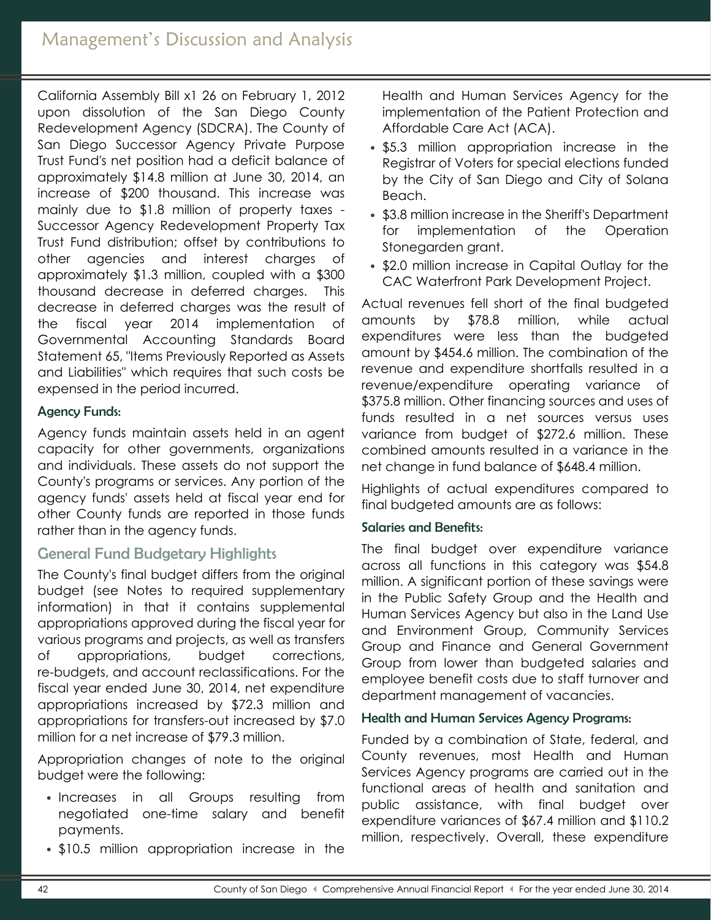# Management's Discussion and Analysis

California Assembly Bill x1 26 on February 1, 2012 upon dissolution of the San Diego County Redevelopment Agency (SDCRA). The County of San Diego Successor Agency Private Purpose Trust Fund's net position had a deficit balance of approximately \$14.8 million at June 30, 2014, an increase of \$200 thousand. This increase was mainly due to \$1.8 million of property taxes - Successor Agency Redevelopment Property Tax Trust Fund distribution; offset by contributions to other agencies and interest charges of approximately \$1.3 million, coupled with a \$300 thousand decrease in deferred charges. This decrease in deferred charges was the result of the fiscal year 2014 implementation of Governmental Accounting Standards Board Statement 65, "Items Previously Reported as Assets and Liabilities" which requires that such costs be expensed in the period incurred.

### Agency Funds:

Agency funds maintain assets held in an agent capacity for other governments, organizations and individuals. These assets do not support the County's programs or services. Any portion of the agency funds' assets held at fiscal year end for other County funds are reported in those funds rather than in the agency funds.

## General Fund Budgetary Highlights

The County's final budget differs from the original budget (see Notes to required supplementary information) in that it contains supplemental appropriations approved during the fiscal year for various programs and projects, as well as transfers of appropriations, budget corrections, re-budgets, and account reclassifications. For the fiscal year ended June 30, 2014, net expenditure appropriations increased by \$72.3 million and appropriations for transfers-out increased by \$7.0 million for a net increase of \$79.3 million.

Appropriation changes of note to the original budget were the following:

- Increases in all Groups resulting from negotiated one-time salary and benefit payments.
- \$10.5 million appropriation increase in the

Health and Human Services Agency for the implementation of the Patient Protection and Affordable Care Act (ACA).

- \$5.3 million appropriation increase in the Registrar of Voters for special elections funded by the City of San Diego and City of Solana Beach.
- \$3.8 million increase in the Sheriff's Department for implementation of the Operation Stonegarden grant.
- \$2.0 million increase in Capital Outlay for the CAC Waterfront Park Development Project.

Actual revenues fell short of the final budgeted amounts by \$78.8 million, while actual expenditures were less than the budgeted amount by \$454.6 million. The combination of the revenue and expenditure shortfalls resulted in a revenue/expenditure operating variance of \$375.8 million. Other financing sources and uses of funds resulted in a net sources versus uses variance from budget of \$272.6 million. These combined amounts resulted in a variance in the net change in fund balance of \$648.4 million.

Highlights of actual expenditures compared to final budgeted amounts are as follows:

### Salaries and Benefits:

The final budget over expenditure variance across all functions in this category was \$54.8 million. A significant portion of these savings were in the Public Safety Group and the Health and Human Services Agency but also in the Land Use and Environment Group, Community Services Group and Finance and General Government Group from lower than budgeted salaries and employee benefit costs due to staff turnover and department management of vacancies.

### Health and Human Services Agency Programs:

Funded by a combination of State, federal, and County revenues, most Health and Human Services Agency programs are carried out in the functional areas of health and sanitation and public assistance, with final budget over expenditure variances of \$67.4 million and \$110.2 million, respectively. Overall, these expenditure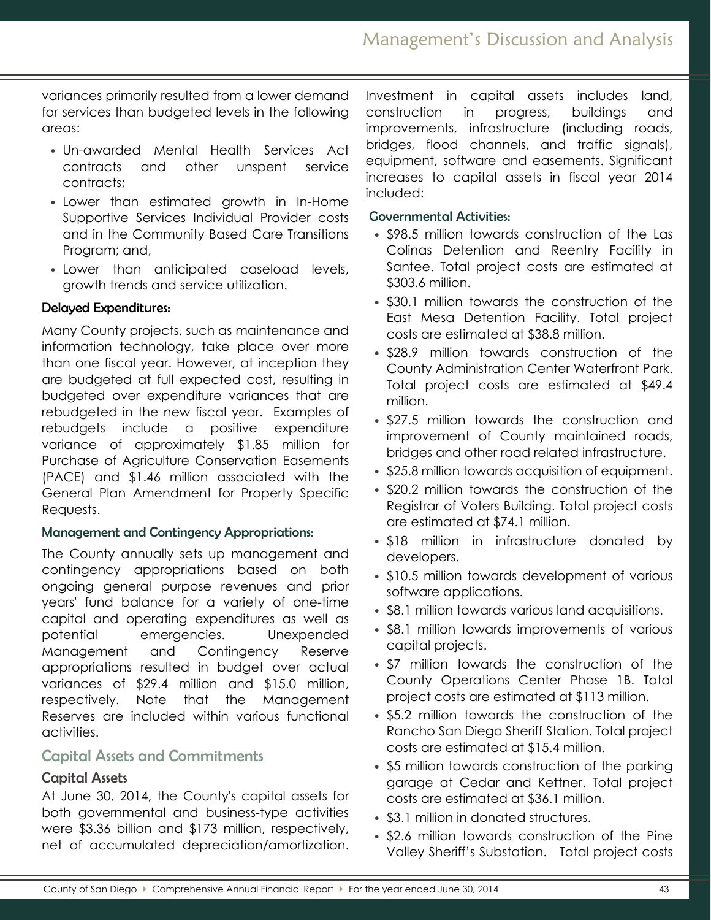variances primarily resulted from a lower demand for services than budgeted levels in the following areas:

- Un-awarded Mental Health Services Act contracts and other unspent service contracts;
- Lower than estimated growth in In-Home Supportive Services Individual Provider costs and in the Community Based Care Transitions Program; and,
- Lower than anticipated caseload levels, growth trends and service utilization.

### Delayed Expenditures:

Many County projects, such as maintenance and information technology, take place over more than one fiscal year. However, at inception they are budgeted at full expected cost, resulting in budgeted over expenditure variances that are rebudgeted in the new fiscal year. Examples of rebudgets include a positive expenditure variance of approximately \$1.85 million for Purchase of Agriculture Conservation Easements (PACE) and \$1.46 million associated with the General Plan Amendment for Property Specific Requests.

### Management and Contingency Appropriations:

The County annually sets up management and contingency appropriations based on both ongoing general purpose revenues and prior years' fund balance for a variety of one-time capital and operating expenditures as well as potential emergencies. Unexpended Management and Contingency Reserve appropriations resulted in budget over actual variances of \$29.4 million and \$15.0 million, respectively. Note that the Management Reserves are included within various functional activities.

## Capital Assets and Commitments

## Capital Assets

At June 30, 2014, the County's capital assets for both governmental and business-type activities were \$3.36 billion and \$173 million, respectively, net of accumulated depreciation/amortization. Investment in capital assets includes land, construction in progress, buildings and improvements, infrastructure (including roads, bridges, flood channels, and traffic signals), equipment, software and easements. Significant increases to capital assets in fiscal year 2014 included:

### Governmental Activities:

- \$98.5 million towards construction of the Las Colinas Detention and Reentry Facility in Santee. Total project costs are estimated at \$303.6 million.
- \$30.1 million towards the construction of the East Mesa Detention Facility. Total project costs are estimated at \$38.8 million.
- \$28.9 million towards construction of the County Administration Center Waterfront Park. Total project costs are estimated at \$49.4 million.
- \$27.5 million towards the construction and improvement of County maintained roads, bridges and other road related infrastructure.
- \$25.8 million towards acquisition of equipment.
- \$20.2 million towards the construction of the Registrar of Voters Building. Total project costs are estimated at \$74.1 million.
- \$18 million in infrastructure donated by developers.
- \$10.5 million towards development of various software applications.
- \$8.1 million towards various land acquisitions.
- \$8.1 million towards improvements of various capital projects.
- \$7 million towards the construction of the County Operations Center Phase 1B. Total project costs are estimated at \$113 million.
- \$5.2 million towards the construction of the Rancho San Diego Sheriff Station. Total project costs are estimated at \$15.4 million.
- \$5 million towards construction of the parking garage at Cedar and Kettner. Total project costs are estimated at \$36.1 million.
- \$3.1 million in donated structures.
- \$2.6 million towards construction of the Pine Valley Sheriff's Substation. Total project costs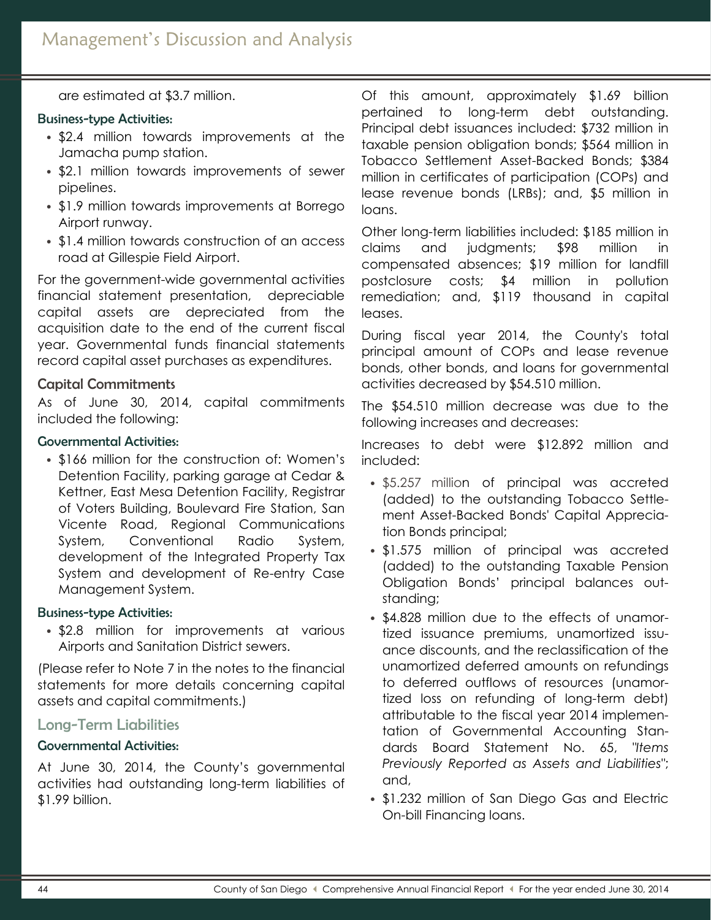are estimated at \$3.7 million.

### Business-type Activities:

- \$2.4 million towards improvements at the Jamacha pump station.
- \$2.1 million towards improvements of sewer pipelines.
- \$1.9 million towards improvements at Borrego Airport runway.
- \$1.4 million towards construction of an access road at Gillespie Field Airport.

For the government-wide governmental activities financial statement presentation, depreciable capital assets are depreciated from the acquisition date to the end of the current fiscal year. Governmental funds financial statements record capital asset purchases as expenditures.

### Capital Commitments

As of June 30, 2014, capital commitments included the following:

### Governmental Activities:

• \$166 million for the construction of: Women's Detention Facility, parking garage at Cedar & Kettner, East Mesa Detention Facility, Registrar of Voters Building, Boulevard Fire Station, San Vicente Road, Regional Communications System, Conventional Radio System, development of the Integrated Property Tax System and development of Re-entry Case Management System.

#### Business-type Activities:

• \$2.8 million for improvements at various Airports and Sanitation District sewers.

(Please refer to Note 7 in the notes to the financial statements for more details concerning capital assets and capital commitments.)

### Long-Term Liabilities

### Governmental Activities:

At June 30, 2014, the County's governmental activities had outstanding long-term liabilities of \$1.99 billion.

Of this amount, approximately \$1.69 billion pertained to long-term debt outstanding. Principal debt issuances included: \$732 million in taxable pension obligation bonds; \$564 million in Tobacco Settlement Asset-Backed Bonds; \$384 million in certificates of participation (COPs) and lease revenue bonds (LRBs); and, \$5 million in loans.

Other long-term liabilities included: \$185 million in claims and judgments; \$98 million in compensated absences; \$19 million for landfill postclosure costs; \$4 million in pollution remediation; and, \$119 thousand in capital leases.

During fiscal year 2014, the County's total principal amount of COPs and lease revenue bonds, other bonds, and loans for governmental activities decreased by \$54.510 million.

The \$54.510 million decrease was due to the following increases and decreases:

Increases to debt were \$12.892 million and included:

- \$5.257 million of principal was accreted (added) to the outstanding Tobacco Settlement Asset-Backed Bonds' Capital Appreciation Bonds principal;
- \$1.575 million of principal was accreted (added) to the outstanding Taxable Pension Obligation Bonds' principal balances outstanding;
- \$4.828 million due to the effects of unamortized issuance premiums, unamortized issuance discounts, and the reclassification of the unamortized deferred amounts on refundings to deferred outflows of resources (unamortized loss on refunding of long-term debt) attributable to the fiscal year 2014 implementation of Governmental Accounting Standards Board Statement No. 65, *"Items Previously Reported as Assets and Liabilities"*; and,
- \$1.232 million of San Diego Gas and Electric On-bill Financing loans.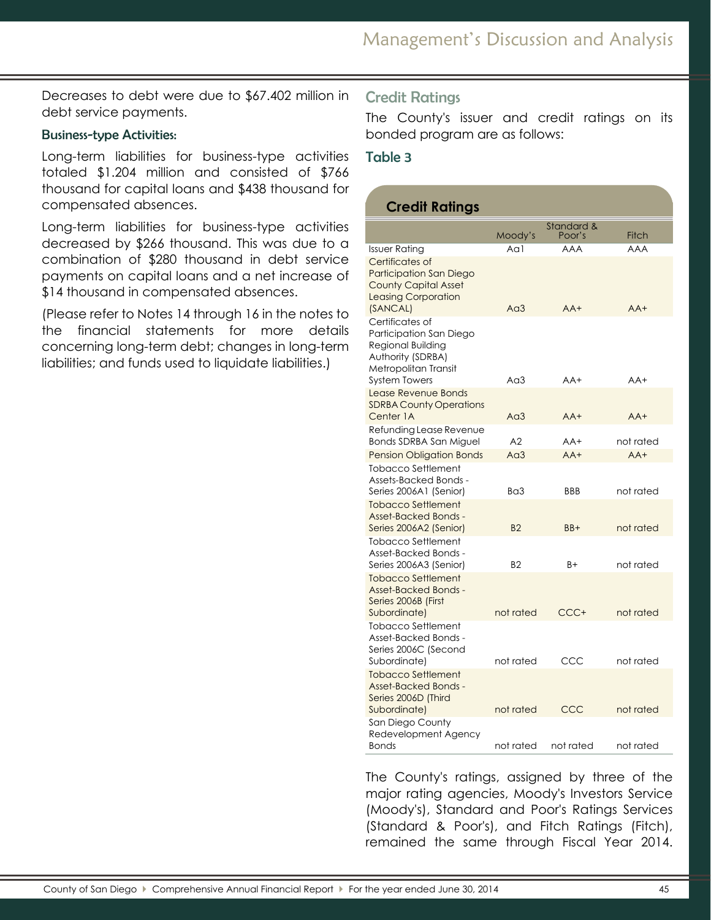Decreases to debt were due to \$67.402 million in debt service payments.

### Business-type Activities:

Long-term liabilities for business-type activities totaled \$1.204 million and consisted of \$766 thousand for capital loans and \$438 thousand for compensated absences.

Long-term liabilities for business-type activities decreased by \$266 thousand. This was due to a combination of \$280 thousand in debt service payments on capital loans and a net increase of \$14 thousand in compensated absences.

(Please refer to Notes 14 through 16 in the notes to the financial statements for more details concerning long-term debt; changes in long-term liabilities; and funds used to liquidate liabilities.)

## Credit Ratings

The County's issuer and credit ratings on its bonded program are as follows:

### Table 3

## **Credit Ratings**

|                                                                                                                                      | Moody's   | Standard &<br>Poor's | Fitch      |
|--------------------------------------------------------------------------------------------------------------------------------------|-----------|----------------------|------------|
| <b>Issuer Rating</b>                                                                                                                 | Aal       | <b>AAA</b>           | <b>AAA</b> |
| Certificates of<br><b>Participation San Diego</b><br><b>County Capital Asset</b><br><b>Leasing Corporation</b><br>(SANCAL)           | $Ad$ 3    | $AA+$                | $AA+$      |
| Certificates of<br>Participation San Diego<br>Regional Building<br>Authority (SDRBA)<br>Metropolitan Transit<br><b>System Towers</b> | Aa3       | $AA+$                | $AA+$      |
| Lease Revenue Bonds<br><b>SDRBA County Operations</b><br>Center 1A                                                                   | $Ad$ 3    | $AA+$                | $AA+$      |
| Refunding Lease Revenue<br><b>Bonds SDRBA San Miguel</b>                                                                             | A2        | AA+                  | not rated  |
| <b>Pension Obligation Bonds</b>                                                                                                      | $Ad$ 3    | $AA+$                | $AA+$      |
| <b>Tobacco Settlement</b><br>Assets-Backed Bonds -<br>Series 2006A1 (Senior)                                                         | Ba3       | <b>BBB</b>           | not rated  |
| <b>Tobacco Settlement</b><br><b>Asset-Backed Bonds -</b><br>Series 2006A2 (Senior)                                                   | <b>B2</b> | $BB+$                | not rated  |
| Tobacco Settlement<br>Asset-Backed Bonds -<br>Series 2006A3 (Senior)                                                                 | <b>B2</b> | B+                   | not rated  |
| <b>Tobacco Settlement</b><br><b>Asset-Backed Bonds -</b><br>Series 2006B (First<br>Subordinate)                                      | not rated | CCC+                 | not rated  |
| <b>Tobacco Settlement</b>                                                                                                            |           |                      |            |
| Asset-Backed Bonds -<br>Series 2006C (Second<br>Subordinate)                                                                         | not rated | CCC                  | not rated  |
| <b>Tobacco Settlement</b><br><b>Asset-Backed Bonds -</b><br>Series 2006D (Third<br>Subordinate)                                      | not rated | CCC                  | not rated  |
| San Diego County<br>Redevelopment Agency<br>Bonds                                                                                    | not rated | not rated            | not rated  |

The County's ratings, assigned by three of the major rating agencies, Moody's Investors Service (Moody's), Standard and Poor's Ratings Services (Standard & Poor's), and Fitch Ratings (Fitch), remained the same through Fiscal Year 2014.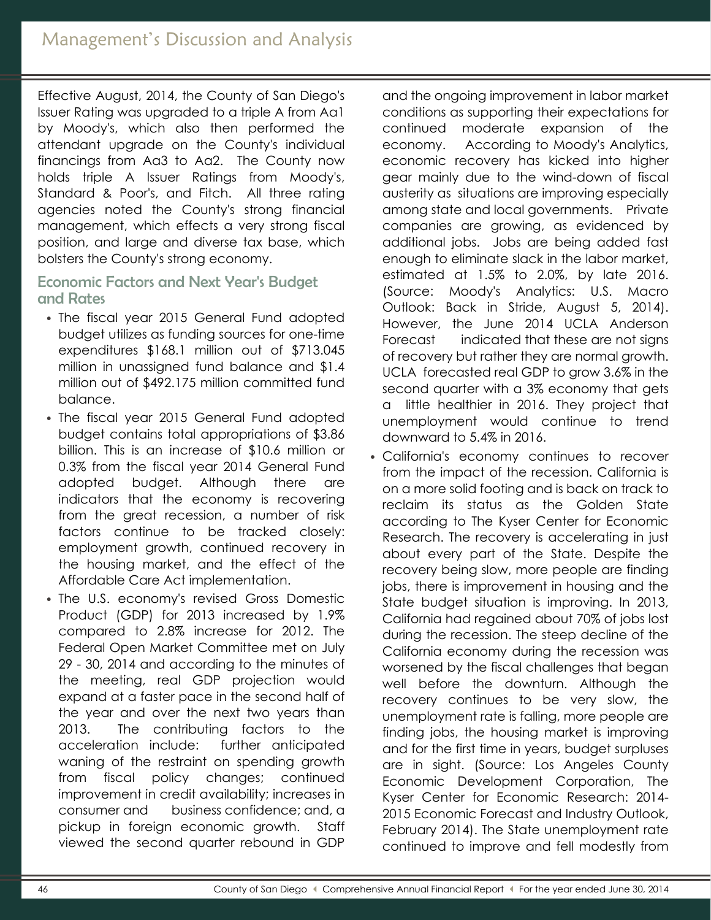Effective August, 2014, the County of San Diego's Issuer Rating was upgraded to a triple A from Aa1 by Moody's, which also then performed the attendant upgrade on the County's individual financings from Aa3 to Aa2. The County now holds triple A Issuer Ratings from Moody's, Standard & Poor's, and Fitch. All three rating agencies noted the County's strong financial management, which effects a very strong fiscal position, and large and diverse tax base, which bolsters the County's strong economy.

# Economic Factors and Next Year's Budget and Rates

- The fiscal year 2015 General Fund adopted budget utilizes as funding sources for one-time expenditures \$168.1 million out of \$713.045 million in unassigned fund balance and \$1.4 million out of \$492.175 million committed fund balance.
- The fiscal year 2015 General Fund adopted budget contains total appropriations of \$3.86 billion. This is an increase of \$10.6 million or 0.3% from the fiscal year 2014 General Fund adopted budget. Although there are indicators that the economy is recovering from the great recession, a number of risk factors continue to be tracked closely: employment growth, continued recovery in the housing market, and the effect of the Affordable Care Act implementation.
- The U.S. economy's revised Gross Domestic Product (GDP) for 2013 increased by 1.9% compared to 2.8% increase for 2012. The Federal Open Market Committee met on July 29 - 30, 2014 and according to the minutes of the meeting, real GDP projection would expand at a faster pace in the second half of the year and over the next two years than 2013. The contributing factors to the acceleration include: further anticipated waning of the restraint on spending growth from fiscal policy changes; continued improvement in credit availability; increases in consumer and business confidence; and, a pickup in foreign economic growth. Staff viewed the second quarter rebound in GDP

and the ongoing improvement in labor market conditions as supporting their expectations for continued moderate expansion of the economy. According to Moody's Analytics, economic recovery has kicked into higher gear mainly due to the wind-down of fiscal austerity as situations are improving especially among state and local governments. Private companies are growing, as evidenced by additional jobs. Jobs are being added fast enough to eliminate slack in the labor market, estimated at 1.5% to 2.0%, by late 2016. (Source: Moody's Analytics: U.S. Macro Outlook: Back in Stride, August 5, 2014). However, the June 2014 UCLA Anderson Forecast indicated that these are not signs of recovery but rather they are normal growth. UCLA forecasted real GDP to grow 3.6% in the second quarter with a 3% economy that gets a little healthier in 2016. They project that unemployment would continue to trend downward to 5.4% in 2016.

• California's economy continues to recover from the impact of the recession. California is on a more solid footing and is back on track to reclaim its status as the Golden State according to The Kyser Center for Economic Research. The recovery is accelerating in just about every part of the State. Despite the recovery being slow, more people are finding jobs, there is improvement in housing and the State budget situation is improving. In 2013, California had regained about 70% of jobs lost during the recession. The steep decline of the California economy during the recession was worsened by the fiscal challenges that began well before the downturn. Although the recovery continues to be very slow, the unemployment rate is falling, more people are finding jobs, the housing market is improving and for the first time in years, budget surpluses are in sight. (Source: Los Angeles County Economic Development Corporation, The Kyser Center for Economic Research: 2014- 2015 Economic Forecast and Industry Outlook, February 2014). The State unemployment rate continued to improve and fell modestly from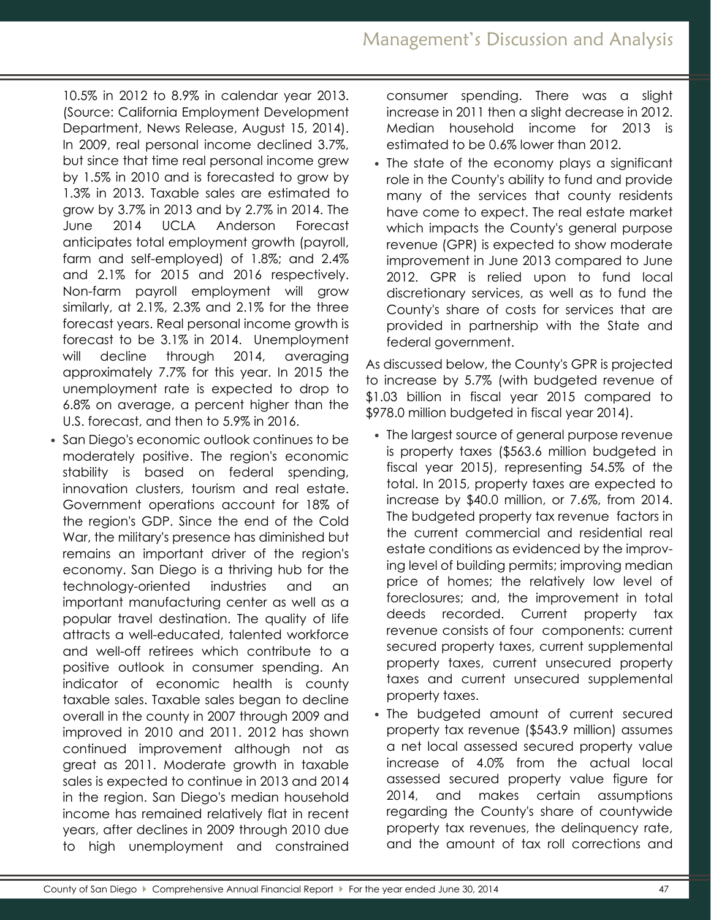10.5% in 2012 to 8.9% in calendar year 2013. (Source: California Employment Development Department, News Release, August 15, 2014). In 2009, real personal income declined 3.7%, but since that time real personal income grew by 1.5% in 2010 and is forecasted to grow by 1.3% in 2013. Taxable sales are estimated to grow by 3.7% in 2013 and by 2.7% in 2014. The June 2014 UCLA Anderson Forecast anticipates total employment growth (payroll, farm and self-employed) of 1.8%; and 2.4% and 2.1% for 2015 and 2016 respectively. Non-farm payroll employment will grow similarly, at 2.1%, 2.3% and 2.1% for the three forecast years. Real personal income growth is forecast to be 3.1% in 2014. Unemployment will decline through 2014, averaging approximately 7.7% for this year. In 2015 the unemployment rate is expected to drop to 6.8% on average, a percent higher than the U.S. forecast, and then to 5.9% in 2016.

• San Diego's economic outlook continues to be moderately positive. The region's economic stability is based on federal spending, innovation clusters, tourism and real estate. Government operations account for 18% of the region's GDP. Since the end of the Cold War, the military's presence has diminished but remains an important driver of the region's economy. San Diego is a thriving hub for the technology-oriented industries and an important manufacturing center as well as a popular travel destination. The quality of life attracts a well-educated, talented workforce and well-off retirees which contribute to a positive outlook in consumer spending. An indicator of economic health is county taxable sales. Taxable sales began to decline overall in the county in 2007 through 2009 and improved in 2010 and 2011. 2012 has shown continued improvement although not as great as 2011. Moderate growth in taxable sales is expected to continue in 2013 and 2014 in the region. San Diego's median household income has remained relatively flat in recent years, after declines in 2009 through 2010 due to high unemployment and constrained consumer spending. There was a slight increase in 2011 then a slight decrease in 2012. Median household income for 2013 is estimated to be 0.6% lower than 2012.

• The state of the economy plays a significant role in the County's ability to fund and provide many of the services that county residents have come to expect. The real estate market which impacts the County's general purpose revenue (GPR) is expected to show moderate improvement in June 2013 compared to June 2012. GPR is relied upon to fund local discretionary services, as well as to fund the County's share of costs for services that are provided in partnership with the State and federal government.

As discussed below, the County's GPR is projected to increase by 5.7% (with budgeted revenue of \$1.03 billion in fiscal year 2015 compared to \$978.0 million budgeted in fiscal year 2014).

- The largest source of general purpose revenue is property taxes (\$563.6 million budgeted in fiscal year 2015), representing 54.5% of the total. In 2015, property taxes are expected to increase by \$40.0 million, or 7.6%, from 2014. The budgeted property tax revenue factors in the current commercial and residential real estate conditions as evidenced by the improving level of building permits; improving median price of homes; the relatively low level of foreclosures; and, the improvement in total deeds recorded. Current property tax revenue consists of four components: current secured property taxes, current supplemental property taxes, current unsecured property taxes and current unsecured supplemental property taxes.
- The budgeted amount of current secured property tax revenue (\$543.9 million) assumes a net local assessed secured property value increase of 4.0% from the actual local assessed secured property value figure for 2014, and makes certain assumptions regarding the County's share of countywide property tax revenues, the delinquency rate, and the amount of tax roll corrections and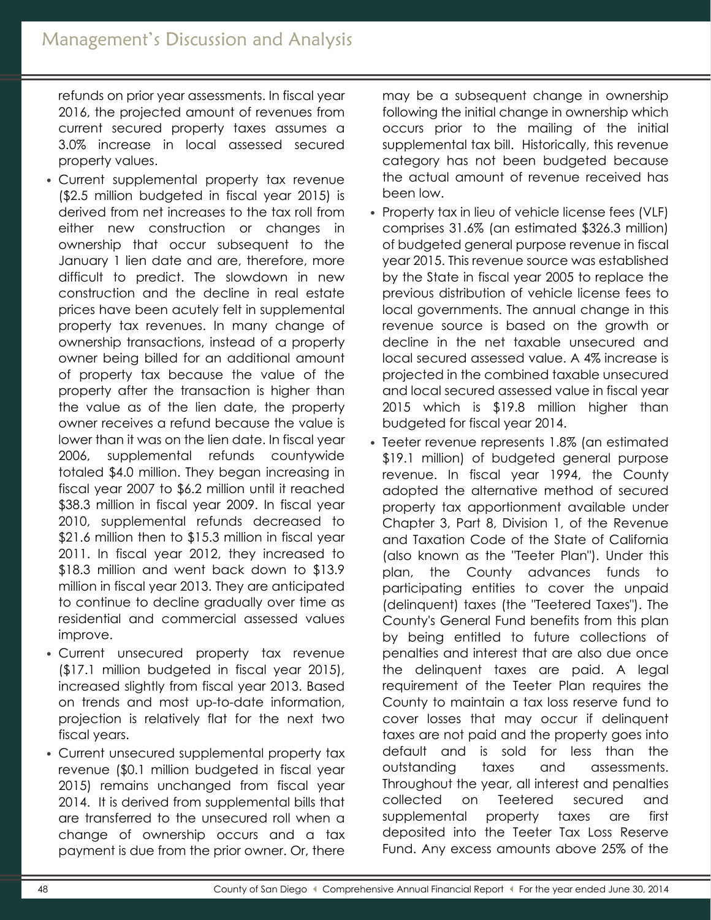refunds on prior year assessments. In fiscal year 2016, the projected amount of revenues from current secured property taxes assumes a 3.0% increase in local assessed secured property values.

- Current supplemental property tax revenue (\$2.5 million budgeted in fiscal year 2015) is derived from net increases to the tax roll from either new construction or changes in ownership that occur subsequent to the January 1 lien date and are, therefore, more difficult to predict. The slowdown in new construction and the decline in real estate prices have been acutely felt in supplemental property tax revenues. In many change of ownership transactions, instead of a property owner being billed for an additional amount of property tax because the value of the property after the transaction is higher than the value as of the lien date, the property owner receives a refund because the value is lower than it was on the lien date. In fiscal year 2006, supplemental refunds countywide totaled \$4.0 million. They began increasing in fiscal year 2007 to \$6.2 million until it reached \$38.3 million in fiscal year 2009. In fiscal year 2010, supplemental refunds decreased to \$21.6 million then to \$15.3 million in fiscal year 2011. In fiscal year 2012, they increased to \$18.3 million and went back down to \$13.9 million in fiscal year 2013. They are anticipated to continue to decline gradually over time as residential and commercial assessed values improve.
- Current unsecured property tax revenue (\$17.1 million budgeted in fiscal year 2015), increased slightly from fiscal year 2013. Based on trends and most up-to-date information, projection is relatively flat for the next two fiscal years.
- Current unsecured supplemental property tax revenue (\$0.1 million budgeted in fiscal year 2015) remains unchanged from fiscal year 2014. It is derived from supplemental bills that are transferred to the unsecured roll when a change of ownership occurs and a tax payment is due from the prior owner. Or, there

may be a subsequent change in ownership following the initial change in ownership which occurs prior to the mailing of the initial supplemental tax bill. Historically, this revenue category has not been budgeted because the actual amount of revenue received has been low.

- Property tax in lieu of vehicle license fees (VLF) comprises 31.6% (an estimated \$326.3 million) of budgeted general purpose revenue in fiscal year 2015. This revenue source was established by the State in fiscal year 2005 to replace the previous distribution of vehicle license fees to local governments. The annual change in this revenue source is based on the growth or decline in the net taxable unsecured and local secured assessed value. A 4% increase is projected in the combined taxable unsecured and local secured assessed value in fiscal year 2015 which is \$19.8 million higher than budgeted for fiscal year 2014.
- Teeter revenue represents 1.8% (an estimated \$19.1 million) of budgeted general purpose revenue. In fiscal year 1994, the County adopted the alternative method of secured property tax apportionment available under Chapter 3, Part 8, Division 1, of the Revenue and Taxation Code of the State of California (also known as the "Teeter Plan"). Under this plan, the County advances funds to participating entities to cover the unpaid (delinquent) taxes (the "Teetered Taxes"). The County's General Fund benefits from this plan by being entitled to future collections of penalties and interest that are also due once the delinquent taxes are paid. A legal requirement of the Teeter Plan requires the County to maintain a tax loss reserve fund to cover losses that may occur if delinquent taxes are not paid and the property goes into default and is sold for less than the outstanding taxes and assessments. Throughout the year, all interest and penalties collected on Teetered secured and supplemental property taxes are first deposited into the Teeter Tax Loss Reserve Fund. Any excess amounts above 25% of the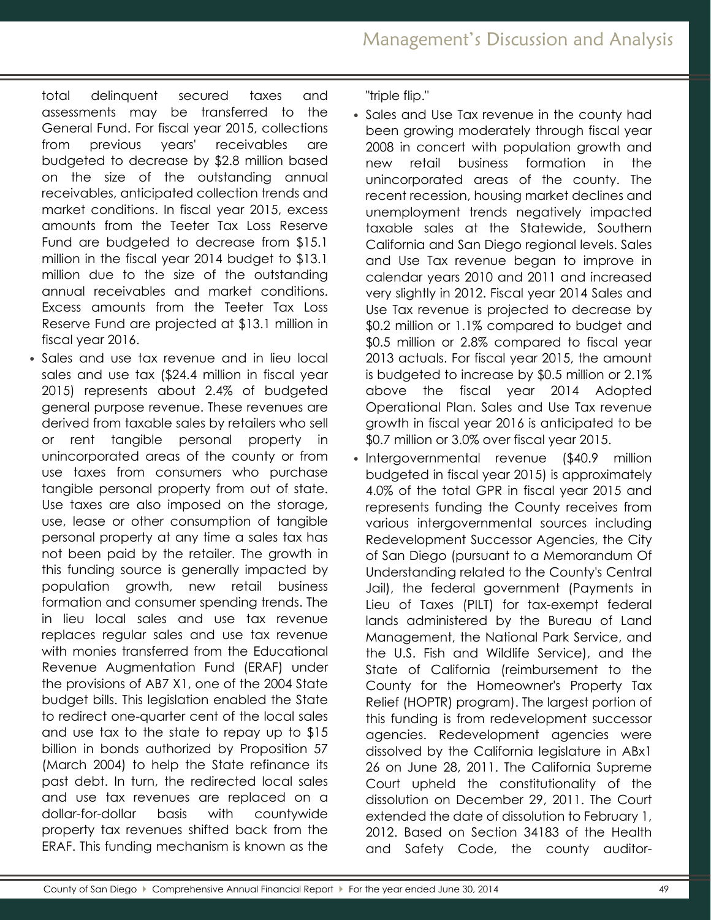total delinquent secured taxes and assessments may be transferred to the General Fund. For fiscal year 2015, collections from previous years' receivables are budgeted to decrease by \$2.8 million based on the size of the outstanding annual receivables, anticipated collection trends and market conditions. In fiscal year 2015, excess amounts from the Teeter Tax Loss Reserve Fund are budgeted to decrease from \$15.1 million in the fiscal year 2014 budget to \$13.1 million due to the size of the outstanding annual receivables and market conditions. Excess amounts from the Teeter Tax Loss Reserve Fund are projected at \$13.1 million in fiscal year 2016.

• Sales and use tax revenue and in lieu local sales and use tax (\$24.4 million in fiscal year 2015) represents about 2.4% of budgeted general purpose revenue. These revenues are derived from taxable sales by retailers who sell or rent tangible personal property in unincorporated areas of the county or from use taxes from consumers who purchase tangible personal property from out of state. Use taxes are also imposed on the storage, use, lease or other consumption of tangible personal property at any time a sales tax has not been paid by the retailer. The growth in this funding source is generally impacted by population growth, new retail business formation and consumer spending trends. The in lieu local sales and use tax revenue replaces regular sales and use tax revenue with monies transferred from the Educational Revenue Augmentation Fund (ERAF) under the provisions of AB7 X1, one of the 2004 State budget bills. This legislation enabled the State to redirect one-quarter cent of the local sales and use tax to the state to repay up to \$15 billion in bonds authorized by Proposition 57 (March 2004) to help the State refinance its past debt. In turn, the redirected local sales and use tax revenues are replaced on a dollar-for-dollar basis with countywide property tax revenues shifted back from the ERAF. This funding mechanism is known as the

"triple flip."

- Sales and Use Tax revenue in the county had been growing moderately through fiscal year 2008 in concert with population growth and new retail business formation in the unincorporated areas of the county. The recent recession, housing market declines and unemployment trends negatively impacted taxable sales at the Statewide, Southern California and San Diego regional levels. Sales and Use Tax revenue began to improve in calendar years 2010 and 2011 and increased very slightly in 2012. Fiscal year 2014 Sales and Use Tax revenue is projected to decrease by \$0.2 million or 1.1% compared to budget and \$0.5 million or 2.8% compared to fiscal year 2013 actuals. For fiscal year 2015, the amount is budgeted to increase by \$0.5 million or 2.1% above the fiscal year 2014 Adopted Operational Plan. Sales and Use Tax revenue growth in fiscal year 2016 is anticipated to be \$0.7 million or 3.0% over fiscal year 2015.
- Intergovernmental revenue (\$40.9 million budgeted in fiscal year 2015) is approximately 4.0% of the total GPR in fiscal year 2015 and represents funding the County receives from various intergovernmental sources including Redevelopment Successor Agencies, the City of San Diego (pursuant to a Memorandum Of Understanding related to the County's Central Jail), the federal government (Payments in Lieu of Taxes (PILT) for tax-exempt federal lands administered by the Bureau of Land Management, the National Park Service, and the U.S. Fish and Wildlife Service), and the State of California (reimbursement to the County for the Homeowner's Property Tax Relief (HOPTR) program). The largest portion of this funding is from redevelopment successor agencies. Redevelopment agencies were dissolved by the California legislature in ABx1 26 on June 28, 2011. The California Supreme Court upheld the constitutionality of the dissolution on December 29, 2011. The Court extended the date of dissolution to February 1, 2012. Based on Section 34183 of the Health and Safety Code, the county auditor-